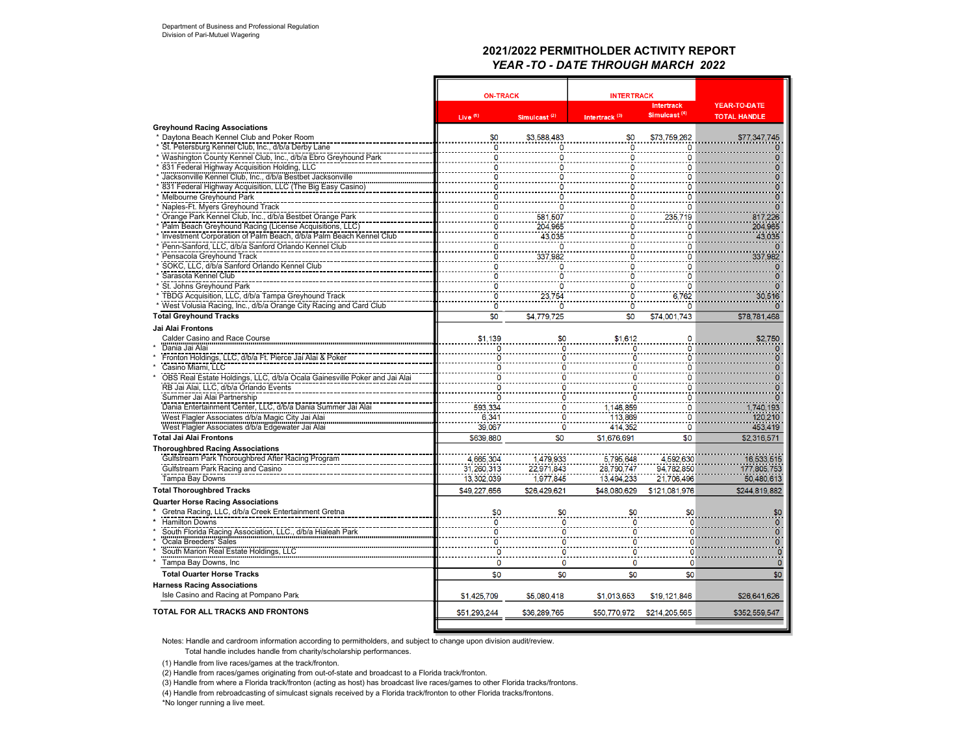# **2021/2022 PERMITHOLDER ACTIVITY REPORT** *YEAR -TO - DATE THROUGH MARCH 2022*

|                                                                              | <b>ON-TRACK</b>     |                 | <b>INTERTRACK</b>         | YEAR-TO-DATE                                  |                                |
|------------------------------------------------------------------------------|---------------------|-----------------|---------------------------|-----------------------------------------------|--------------------------------|
|                                                                              | Live <sup>(1)</sup> | Simulcast $(2)$ | Intertrack <sup>(3)</sup> | <b>Intertrack</b><br>Simulcast <sup>(4)</sup> | <b>TOTAL HANDLE</b>            |
| <b>Greyhound Racing Associations</b>                                         |                     |                 |                           |                                               |                                |
| * Daytona Beach Kennel Club and Poker Room                                   | \$0                 | \$3.588.483     | \$0                       | \$73,759,262                                  | \$77,347,745                   |
| * St. Petersburg Kennel Club, Inc., d/b/a Derby Lane                         | 0                   | 0               | $\mathbf 0$               |                                               |                                |
| Washington County Kennel Club, Inc., d/b/a Ebro Greyhound Park               | ö                   | 0               | 0                         | n                                             | $\mathbf{0}$                   |
| 831 Federal Highway Acquisition Holding, LLC                                 | $\Omega$            | O               | O                         | n                                             | $\Omega$                       |
| Jacksonville Kennel Club, Inc., d/b/a Bestbet Jacksonville                   | $\Omega$            | $\Omega$        | $\Omega$                  | n                                             | $\overline{0}$                 |
| 831 Federal Highway Acquisition, LLC (The Big Easy Casino)                   | ö                   | $\overline{0}$  | ö                         | ٥                                             | $\overline{\mathbf{0}}$        |
| Melbourne Greyhound Park                                                     |                     | 0               | O                         |                                               | $\overline{0}$                 |
| Naples-Ft. Myers Greyhound Track                                             | o                   | n               | 0                         | o                                             | $\overline{0}$                 |
| Orange Park Kennel Club, Inc., d/b/a Bestbet Orange Park                     | 0                   | 581,507         | 0                         | 235,719                                       | 817,226                        |
| Palm Beach Greyhound Racing (License Acquisitions, LLC)                      | 0                   | 204,965         | O                         | 0                                             | 204,965                        |
| Investment Corporation of Palm Beach, d/b/a Palm Beach Kennel Club           | $\mathbf 0$         | 43,035          | $\mathbf 0$               | n                                             | 43,035                         |
| Penn-Sanford, LLC, d/b/a Sanford Orlando Kennel Club                         | ö                   |                 | ö                         |                                               |                                |
| Pensacola Greyhound Track                                                    | $\mathbf{0}$        | 337,982         | $\mathbf{0}$              | o                                             | 337,982                        |
| SOKC, LLC, d/b/a Sanford Orlando Kennel Club                                 | 0                   | 0               | $\ddot{\mathbf{0}}$       | n                                             |                                |
| Sarasota Kennel Club                                                         | 0                   | O               | 0                         |                                               |                                |
| St. Johns Greyhound Park                                                     | $\Omega$            |                 | $\overline{0}$            | n                                             |                                |
| * TBDG Acquisition, LLC, d/b/a Tampa Greyhound Track                         | 0                   | 23,754          | 0                         | 6.762                                         | 30,516                         |
| West Volusia Racing, Inc., d/b/a Orange City Racing and Card Club            | 0                   |                 | $\ddot{\mathbf{o}}$       | 0                                             |                                |
| <b>Total Greyhound Tracks</b>                                                | \$0                 | \$4,779,725     | \$0                       | \$74,001,743                                  | \$78,781,468                   |
| Jai Alai Frontons                                                            |                     |                 |                           |                                               |                                |
| Calder Casino and Race Course                                                | \$1,139             | \$0             | \$1.612                   |                                               | \$2,750                        |
| Dania Jai Alai                                                               |                     | 0               |                           |                                               |                                |
| Fronton Holdings, LLC, d/b/a Ft. Pierce Jai Alai & Poker                     |                     | 0               |                           |                                               |                                |
| Casino Miami, LLC                                                            |                     | 0               |                           | Ω                                             | $\overline{0}$                 |
| OBS Real Estate Holdings, LLC, d/b/a Ocala Gainesville Poker and Jai Alai    | $\Omega$            | $\mathbf 0$     | n                         | o                                             | $\overline{0}$                 |
| RB Jai Alai, LLC, d/b/a Orlando Events                                       |                     | 0               |                           |                                               | $\overline{0}$                 |
| Summer Jai Alai Partnership                                                  |                     | 0               |                           |                                               |                                |
| Dania Entertainment Center, LLC, d/b/a Dania Summer Jai Alai                 | 593,334             | 0               | 1,146,859                 | 0                                             | 1,740,193                      |
| West Flagler Associates d/b/a Magic City Jai Alai                            | 6,341               | 0               | 113,869                   | ٥                                             | 120,210                        |
| West Flagler Associates d/b/a Edgewater Jai Alai                             | 39,067              | $\mathbf{O}$    | 414.352                   | 0                                             | 453,419                        |
| <b>Total Jai Alai Frontons</b>                                               | \$639,880           | \$0             | \$1,676,691               | \$0                                           | \$2,316,571                    |
| <b>Thoroughbred Racing Associations</b>                                      |                     |                 |                           |                                               |                                |
| Gulfstream Park Thoroughbred After Racing Program                            | 4,665,304           | 1,479,933       | 5,795,648                 | 4,592,630                                     | 16,533,515                     |
| Gulfstream Park Racing and Casino                                            | 31,260,313          | 22,971,843      | 28,790,747                | 94.782.850                                    | 177,805,753                    |
| Tampa Bay Downs                                                              | 13,302,039          | 1.977.845       | 13.494.233                | 21.706.496                                    | 50,480,613                     |
| <b>Total Thoroughbred Tracks</b>                                             | \$49,227,656        | \$26,429,621    | \$48,080,629              | \$121.081.976                                 | \$244,819,882                  |
| <b>Quarter Horse Racing Associations</b>                                     |                     |                 |                           |                                               |                                |
| Gretna Racing, LLC, d/b/a Creek Entertainment Gretna                         | \$0                 | \$0             | \$0                       | \$0                                           |                                |
| <b>Hamilton Downs</b>                                                        |                     |                 |                           |                                               | \$0                            |
|                                                                              | $\mathbf{0}$        | $\Omega$        | n                         |                                               | $\mathbf{0}$<br>$\overline{0}$ |
| South Florida Racing Association, LLC., d/b/a Hialeah Park                   | 0                   | 0               |                           |                                               | $\overline{0}$                 |
| Ocala Breeders' Sales                                                        | 0<br>O              | 0               |                           |                                               |                                |
| South Marion Real Estate Holdings, LLC                                       |                     | $\Omega$        |                           |                                               | $\frac{0}{0}$                  |
| Tampa Bay Downs, Inc                                                         | 0<br>\$0            | 0<br>\$0        | 0<br>\$0                  | 0<br>\$0                                      | \$0                            |
| <b>Total Ouarter Horse Tracks</b>                                            |                     |                 |                           |                                               |                                |
| <b>Harness Racing Associations</b><br>Isle Casino and Racing at Pompano Park | \$1,425,709         | \$5,080,418     | \$1.013.653               | \$19,121,846                                  |                                |
|                                                                              |                     |                 |                           |                                               | \$26,641,626                   |
| <b>TOTAL FOR ALL TRACKS AND FRONTONS</b>                                     | \$51,293,244        | \$36,289,765    | \$50,770,972              | \$214,205,565                                 | \$352,559,547                  |
|                                                                              |                     |                 |                           |                                               |                                |

Notes: Handle and cardroom information according to permitholders, and subject to change upon division audit/review.

Total handle includes handle from charity/scholarship performances.

(1) Handle from live races/games at the track/fronton.

(2) Handle from races/games originating from out-of-state and broadcast to a Florida track/fronton.

(3) Handle from where a Florida track/fronton (acting as host) has broadcast live races/games to other Florida tracks/frontons.

(4) Handle from rebroadcasting of simulcast signals received by a Florida track/fronton to other Florida tracks/frontons.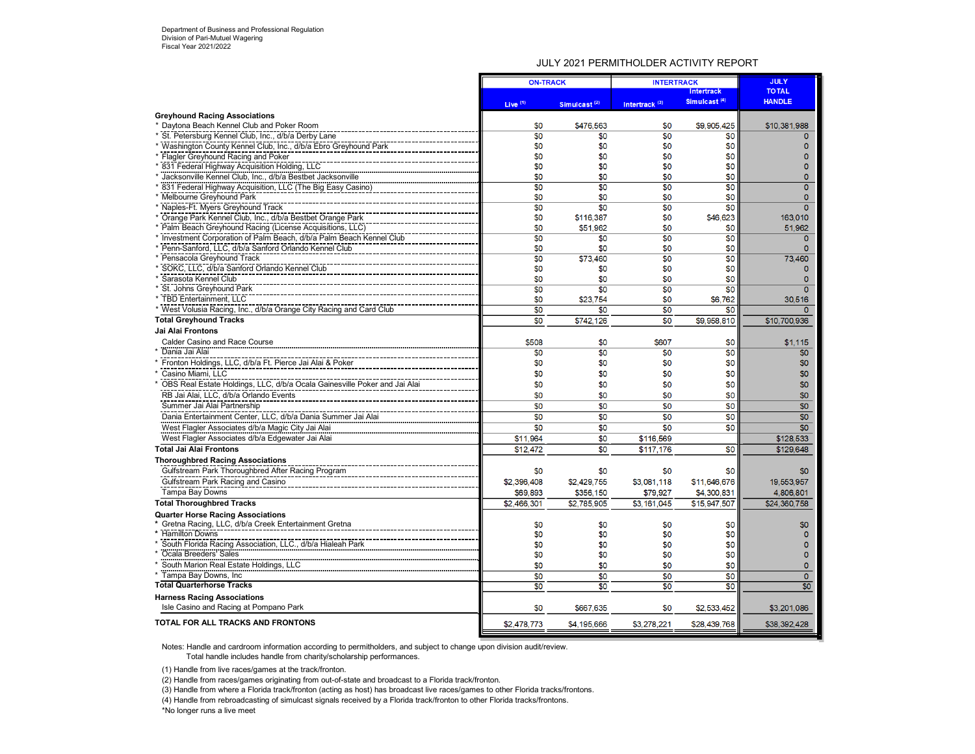## JULY 2021 PERMITHOLDER ACTIVITY REPORT

|                                                                           |                 | <b>ON-TRACK</b>          |                           | <b>INTERTRACK</b>        |                 |  |
|---------------------------------------------------------------------------|-----------------|--------------------------|---------------------------|--------------------------|-----------------|--|
|                                                                           |                 |                          |                           | <b>Intertrack</b>        | <b>TOTAL</b>    |  |
|                                                                           | Live $(1)$      | Simulcast <sup>(2)</sup> | Intertrack <sup>(3)</sup> | Simulcast <sup>(4)</sup> | <b>HANDLE</b>   |  |
| <b>Greyhound Racing Associations</b>                                      |                 |                          |                           |                          |                 |  |
| * Daytona Beach Kennel Club and Poker Room                                | \$0             | \$476,563                | \$0                       | \$9,905,425              | \$10,381,988    |  |
| * St. Petersburg Kennel Club, Inc., d/b/a Derby Lane                      | $\overline{50}$ | \$0                      | $\overline{50}$           | \$0                      |                 |  |
| * Washington County Kennel Club, Inc., d/b/a Ebro Greyhound Park          | \$0             | \$0                      | \$0                       | \$0                      | n               |  |
| * Flagler Greyhound Racing and Poker                                      | \$0             | \$0                      | \$0                       | \$0                      | n               |  |
| * 831 Federal Highway Acquisition Holding, LLC                            | \$0             | \$0                      | \$0                       | \$0                      | n               |  |
| Jacksonville Kennel Club, Inc., d/b/a Bestbet Jacksonville                | \$0             | \$0                      | \$0                       | \$0                      | $\Omega$        |  |
| 831 Federal Highway Acquisition, LLC (The Big Easy Casino)                | \$0             | \$0                      | \$0                       | \$0                      | $\Omega$        |  |
| * Melbourne Greyhound Park                                                | \$0             | \$0                      | \$0                       | \$0                      | $\Omega$        |  |
| * Naples-Ft. Myers Greyhound Track                                        | \$0             | \$0                      | \$0                       | \$0                      | $\Omega$        |  |
| * Orange Park Kennel Club, Inc., d/b/a Bestbet Orange Park                | \$0             | \$116,387                | \$0                       | \$46,623                 | 163,010         |  |
| * Palm Beach Greyhound Racing (License Acquisitions, LLC)                 | \$0             | \$51.962                 | \$0                       | \$0                      | 51.962          |  |
| * Investment Corporation of Palm Beach, d/b/a Palm Beach Kennel Club      | \$0             | \$0                      | \$0                       | \$0                      | $\Omega$        |  |
| Penn-Sanford, LLC, d/b/a Sanford Orlando Kennel Club                      | \$0             | \$0                      | \$0                       | \$0                      | $\mathbf{0}$    |  |
| Pensacola Greyhound Track                                                 | \$0             | \$73.460                 | $\overline{50}$           | $\overline{50}$          | 73,460          |  |
| SOKC, LLC, d/b/a Sanford Orlando Kennel Club                              | \$0             | \$0                      | \$0                       | \$0                      | $\mathbf{0}$    |  |
| Sarasota Kennel Club                                                      | \$0             | \$0                      | \$0                       | \$0                      | $\Omega$        |  |
| St. Johns Greyhound Park                                                  | \$0             | \$0                      | $\overline{30}$           | \$0                      | $\Omega$        |  |
| * TBD Entertainment. LLC                                                  | \$0             | \$23.754                 | \$0                       | \$6,762                  | 30.516          |  |
| * West Volusia Racing, Inc., d/b/a Orange City Racing and Card Club       | \$0             | \$0                      | \$0                       | \$0                      | $\mathbf{0}$    |  |
| <b>Total Greyhound Tracks</b>                                             | \$0             | \$742,126                | \$0                       | \$9,958,810              | \$10,700,936    |  |
| <b>Jai Alai Frontons</b>                                                  |                 |                          |                           |                          |                 |  |
| Calder Casino and Race Course                                             | \$508           | \$0                      | \$607                     | \$0                      | \$1,115         |  |
| Dania Jai Alai                                                            | \$0             | \$0                      | \$0                       | \$0                      | \$0             |  |
| Fronton Holdings, LLC, d/b/a Ft. Pierce Jai Alai & Poker                  | \$0             | \$0                      | \$0                       | \$0                      | \$0             |  |
| Casino Miami, LLC                                                         | \$0             | \$0                      | \$0                       | \$0                      | \$0             |  |
|                                                                           | \$0             | \$0                      | \$0                       | \$0                      | \$0             |  |
| OBS Real Estate Holdings, LLC, d/b/a Ocala Gainesville Poker and Jai Alai |                 |                          |                           |                          |                 |  |
| RB Jai Alai, LLC, d/b/a Orlando Events                                    | \$0             | \$0                      | \$0                       | \$0                      | \$0             |  |
| Summer Jai Alai Partnership                                               | \$0             | \$0                      | \$0                       | \$0                      | \$0             |  |
| Dania Entertainment Center, LLC, d/b/a Dania Summer Jai Alai              | \$0             | \$0                      | \$0                       | \$0                      | \$0             |  |
| West Flagler Associates d/b/a Magic City Jai Alai                         | \$0             | \$0                      | \$0                       | \$0                      | \$0             |  |
| West Flagler Associates d/b/a Edgewater Jai Alai                          | \$11,964        | \$0                      | \$116,569                 |                          | \$128,533       |  |
| <b>Total Jai Alai Frontons</b>                                            | \$12,472        | \$0                      | \$117,176                 | \$0                      | \$129,648       |  |
| <b>Thoroughbred Racing Associations</b>                                   |                 |                          |                           |                          |                 |  |
| Gulfstream Park Thoroughbred After Racing Program                         | \$0             | \$0                      | \$0                       | \$0                      | \$0             |  |
| Gulfstream Park Racing and Casino                                         | \$2,396,408     | \$2,429,755              | \$3,081,118               | \$11,646,676             | 19,553,957      |  |
| <b>Tampa Bay Downs</b>                                                    | \$69,893        | \$356,150                | \$79,927                  | \$4,300,831              | 4,806,801       |  |
| <b>Total Thoroughbred Tracks</b>                                          | \$2,466,301     | \$2,785,905              | \$3,161,045               | \$15,947,507             | \$24,360,758    |  |
| <b>Quarter Horse Racing Associations</b>                                  |                 |                          |                           |                          |                 |  |
| * Gretna Racing, LLC, d/b/a Creek Entertainment Gretna                    | \$0             | \$0                      | \$0                       | \$0                      | \$0             |  |
| * Hamilton Downs                                                          | \$0             | \$0                      | \$0                       | \$0                      | $\Omega$        |  |
| South Florida Racing Association, LLC., d/b/a Hialeah Park                | \$0             | \$0                      | \$0                       | \$0                      | n               |  |
| Ocala Breeders' Sales                                                     | \$0             | \$0                      | \$0                       | \$0                      | $\Omega$        |  |
| South Marion Real Estate Holdings, LLC                                    | \$0             | \$0                      | \$0                       | \$0                      | $\Omega$        |  |
| * Tampa Bay Downs, Inc.                                                   | \$0             | \$0                      | \$0                       | \$0                      | $\mathbf{0}$    |  |
| <b>Total Quarterhorse Tracks</b>                                          | \$0             | \$0                      | $\overline{50}$           | \$0                      | $\overline{50}$ |  |
|                                                                           |                 |                          |                           |                          |                 |  |
| <b>Harness Racing Associations</b>                                        |                 |                          |                           |                          |                 |  |
| Isle Casino and Racing at Pompano Park                                    | \$0             | \$667.635                | \$0                       | \$2,533,452              | \$3,201,086     |  |
| <b>TOTAL FOR ALL TRACKS AND FRONTONS</b>                                  | \$2,478,773     | \$4,195,666              | \$3,278.221               | \$28,439,768             | \$38,392,428    |  |
|                                                                           |                 |                          |                           |                          |                 |  |

Notes: Handle and cardroom information according to permitholders, and subject to change upon division audit/review. Total handle includes handle from charity/scholarship performances.

(1) Handle from live races/games at the track/fronton.

(2) Handle from races/games originating from out-of-state and broadcast to a Florida track/fronton.

(3) Handle from where a Florida track/fronton (acting as host) has broadcast live races/games to other Florida tracks/frontons.

 $(4)$  Handle from rebroadcasting of simulcast signals received by a Florida track/fronton to other Florida tracks/frontons.

\*No longer runs a live meet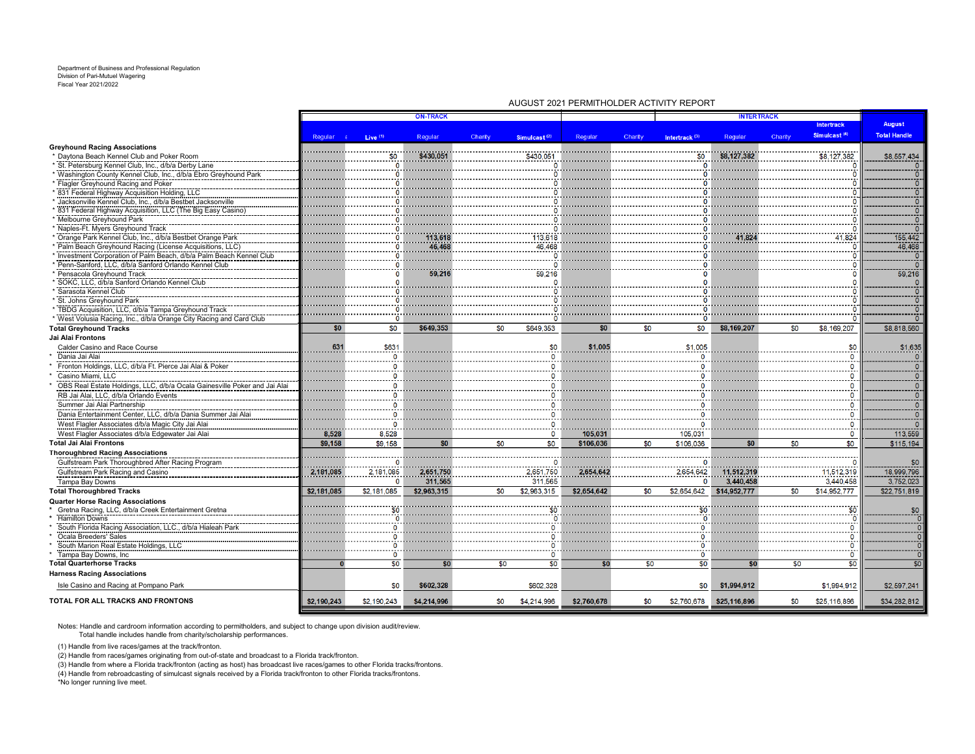#### Department of Business and Professional Regulation Division of Pari-Mutuel Wagering Fiscal Year 2021/2022

|                                                                                              |             |                     | <b>ON-TRACK</b>      |         |                          |             |         |                           | <b>INTERTRACK</b>       |         |                          |                         |
|----------------------------------------------------------------------------------------------|-------------|---------------------|----------------------|---------|--------------------------|-------------|---------|---------------------------|-------------------------|---------|--------------------------|-------------------------|
|                                                                                              |             |                     |                      |         |                          |             |         |                           |                         |         | <b>Intertrack</b>        | <b>August</b>           |
|                                                                                              | Regular a   | Live <sup>(1)</sup> | Regular              | Charity | Simulcast <sup>(2)</sup> | Regular     | Charity | Intertrack <sup>(3)</sup> | Regular                 | Charity | Simulcast <sup>(4)</sup> | <b>Total Handle</b>     |
| <b>Greyhound Racing Associations</b>                                                         |             |                     |                      |         |                          |             |         |                           |                         |         |                          |                         |
| * Daytona Beach Kennel Club and Poker Room                                                   |             | \$0                 | \$430,051            |         | \$430,05                 |             |         | \$0                       | \$8,127,382             |         | \$8,127,382              | \$8,557,434             |
| St. Petersburg Kennel Club, Inc., d/b/a Derby Lane                                           |             |                     |                      |         |                          |             |         |                           |                         |         |                          | $\frac{1}{10}$          |
| Washington County Kennel Club, Inc., d/b/a Ebro Greyhound Park                               |             |                     |                      |         |                          |             |         |                           |                         |         |                          |                         |
| Flagler Greyhound Racing and Poker                                                           |             |                     |                      |         |                          |             |         |                           |                         |         |                          | $\overline{0}$          |
| 831 Federal Highway Acquisition Holding, LLC                                                 |             |                     |                      |         |                          |             |         |                           |                         |         |                          |                         |
| Jacksonville Kennel Club, Inc., d/b/a Bestbet Jacksonville                                   |             |                     |                      |         |                          |             |         |                           |                         |         |                          | $ o $ o $ o $           |
| 831 Federal Highway Acquisition, LLC (The Big Easy Casino)                                   |             |                     |                      |         |                          |             |         |                           |                         |         |                          |                         |
| Melbourne Greyhound Park                                                                     |             |                     |                      |         |                          |             |         |                           |                         |         |                          | $-\frac{5}{0}$          |
| Naples-Ft. Myers Greyhound Track                                                             |             |                     |                      |         |                          |             |         |                           |                         |         |                          | $\overline{0}$          |
| * Orange Park Kennel Club, Inc., d/b/a Bestbet Orange Park                                   |             |                     | 113,618              |         | 113,618                  |             |         |                           |                         |         | 41.824                   | 755,442                 |
| Palm Beach Greyhound Racing (License Acquisitions, LLC)                                      |             |                     | 46,468               |         | 46.468                   |             |         |                           |                         |         |                          | 46,468                  |
| Investment Corporation of Palm Beach, d/b/a Palm Beach Kennel Club                           |             |                     |                      |         |                          |             |         |                           |                         |         |                          | $\overline{0}$          |
| Penn-Sanford, LLC, d/b/a Sanford Orlando Kennel Club                                         |             |                     |                      |         |                          |             |         |                           |                         |         |                          | $\overline{\bullet}$    |
| Pensacola Greyhound Track                                                                    |             |                     | 59.21                |         | 59,216                   |             |         |                           |                         |         |                          | 59,216                  |
| SOKC, LLC, d/b/a Sanford Orlando Kennel Club<br>Sarasota Kennel Club                         |             |                     |                      |         |                          |             |         |                           |                         |         |                          | $\frac{1}{\sqrt{2}}$    |
| St. Johns Greyhound Park                                                                     |             |                     |                      |         |                          |             |         |                           |                         |         |                          | $\frac{1}{\sqrt{2}}$    |
| TBDG Acquisition, LLC, d/b/a Tampa Greyhound Track                                           |             |                     |                      |         |                          |             |         |                           |                         |         |                          | $\overline{0}$          |
| * West Volusia Racing, Inc., d/b/a Orange City Racing and Card Club                          |             |                     |                      |         |                          |             |         |                           |                         |         |                          | ㅎ                       |
| <b>Total Greyhound Tracks</b>                                                                | \$0         | \$0                 | \$649,353            | \$0     | \$649,353                | \$0         | \$0     | \$0                       | \$8,169,207             | \$0     | \$8,169,207              | \$8,818,560             |
| Jai Alai Frontons                                                                            |             |                     |                      |         |                          |             |         |                           |                         |         |                          |                         |
| Calder Casino and Race Course                                                                | 631         | \$631               |                      |         | \$0                      | \$1,005     |         | \$1,005                   |                         |         | \$0                      | \$1,635                 |
| Dania Jai Alai                                                                               |             | $\Omega$            |                      |         |                          |             |         |                           |                         |         |                          | $\Omega$                |
| Fronton Holdings, LLC, d/b/a Ft. Pierce Jai Alai & Poker                                     |             |                     |                      |         |                          |             |         |                           |                         |         |                          |                         |
| Casino Miami, LLC                                                                            |             |                     |                      |         |                          |             |         |                           |                         |         |                          | $\frac{1}{\sqrt{2}}$    |
| OBS Real Estate Holdings, LLC, d/b/a Ocala Gainesville Poker and Jai Alai                    |             |                     |                      |         |                          |             |         |                           |                         |         |                          |                         |
| RB Jai Alai, LLC, d/b/a Orlando Events                                                       |             |                     |                      |         |                          |             |         |                           |                         |         |                          |                         |
| Summer Jai Alai Partnership                                                                  |             |                     |                      |         |                          |             |         |                           |                         |         |                          |                         |
| Dania Entertainment Center, LLC, d/b/a Dania Summer Jai Alai                                 |             |                     |                      |         |                          |             |         |                           |                         |         |                          | $\frac{0}{0}$           |
| West Flagler Associates d/b/a Magic City Jai Alai                                            |             | $\Omega$            |                      |         |                          |             |         |                           |                         |         | - 0                      | $\Omega$                |
|                                                                                              | 8,528       | 8,528               |                      |         | 0                        | 105,031     |         | 105.031                   |                         |         | <br>$\Omega$             | 113,559                 |
| West Flagler Associates d/b/a Edgewater Jai Alai<br>Total Jai Alai Frontons                  | \$9,158     | \$9,158             | \$0                  | \$0     | \$0                      | \$106,036   | \$0     | \$106,036                 | \$0                     | \$0     | \$0                      | \$115,194               |
|                                                                                              |             |                     |                      |         |                          |             |         |                           |                         |         |                          |                         |
| <b>Thoroughbred Racing Associations</b><br>Gulfstream Park Thoroughbred After Racing Program |             |                     |                      |         |                          |             |         |                           |                         |         |                          |                         |
|                                                                                              |             | 2, 181, 085         |                      |         |                          |             |         |                           |                         |         | 11,512,319               | \$0<br>18,999,796       |
| Gulfstream Park Racing and Casino                                                            | 2,181,085   | $\circ$             | 2,651,750<br>311,565 |         | 2,651,750<br>311,565     | 2,654,642   |         | 2,654,642<br>$\mathbf{0}$ | 11,512,319<br>3,440,458 |         | 3,440,458                | 3,752,023               |
| Tampa Bay Downs<br><b>Total Thoroughbred Tracks</b>                                          | \$2,181,085 | \$2,181,085         | \$2,963,315          | \$0     | \$2,963,315              | \$2,654,642 | \$0     | \$2,654,642               | \$14,952,777            | \$0     | \$14,952,777             | \$22,751,819            |
| <b>Quarter Horse Racing Associations</b>                                                     |             |                     |                      |         |                          |             |         |                           |                         |         |                          |                         |
| Gretna Racing, LLC, d/b/a Creek Entertainment Gretna                                         |             |                     |                      |         |                          |             |         |                           |                         |         |                          | \$0                     |
| <b>Hamilton Downs</b>                                                                        |             |                     |                      |         |                          |             |         |                           |                         |         |                          | $\sigma$                |
| South Florida Racing Association, LLC., d/b/a Hialeah Park                                   |             |                     |                      |         |                          |             |         |                           |                         |         |                          | $\overline{\bullet}$    |
| Ocala Breeders' Sales                                                                        |             |                     |                      |         |                          |             |         |                           |                         |         |                          | $\overline{\mathbf{0}}$ |
| South Marion Real Estate Holdings, LLC                                                       |             |                     |                      |         |                          |             |         |                           |                         |         |                          | $\overline{\bullet}$    |
| Tampa Bay Downs, Inc.                                                                        |             | $\Omega$            |                      |         |                          |             |         |                           |                         |         | Ō                        | $\Omega$                |
| <b>Total Quarterhorse Tracks</b>                                                             | $\bf{0}$    | $\overline{50}$     | \$0                  | \$0     | \$0                      | \$0         | \$0     | $\overline{50}$           | \$0                     | \$0     | $\overline{50}$          | \$0                     |
| <b>Harness Racing Associations</b>                                                           |             |                     |                      |         |                          |             |         |                           |                         |         |                          |                         |
| Isle Casino and Racing at Pompano Park                                                       |             | \$0                 | \$602,328            |         | \$602,328                |             |         | \$0                       | \$1,994,912             |         | \$1,994,912              | \$2,597,241             |
| TOTAL FOR ALL TRACKS AND FRONTONS                                                            | \$2,190,243 | \$2,190,243         | \$4,214,996          | \$0     | \$4,214,996              | \$2,760,678 | \$0     | \$2,760,678               | \$25,116,896            | \$0     | \$25,116,896             | \$34,282,812            |
|                                                                                              |             |                     |                      |         |                          |             |         |                           |                         |         |                          |                         |

AUGUST 2021 PERMITHOLDER ACTIVITY REPORT

Notes: Handle and cardroom information according to permitholders, and subject to change upon division audit/review. Total handle includes handle from charity/scholarship performances.

(1) Handle from live races/games at the track/fronton.

(2) Handle from races/games originating from out-of-state and broadcast to a Florida track/fronton.<br>(3) Handle from where a Florida track/fronton (acting as host) has broadcast live races/games to other Florida tracks/fron

(4) Handle from rebroadcasting of simulcast signals received by a Florida track/fronton to other Florida tracks/frontons.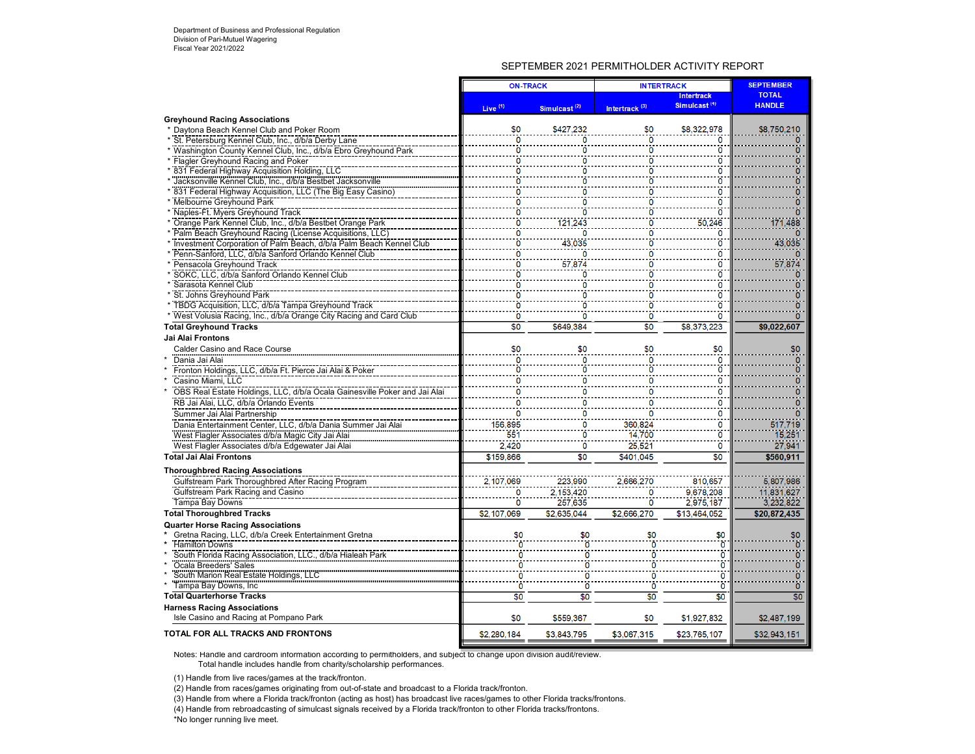## SEPTEMBER 2021 PERMITHOLDER ACTIVITY REPORT

|                                                                           | <b>ON-TRACK</b> |                          | <b>INTERTRACK</b>         |                          |                |  | <b>SEPTEMBER</b> |
|---------------------------------------------------------------------------|-----------------|--------------------------|---------------------------|--------------------------|----------------|--|------------------|
|                                                                           |                 |                          |                           | <b>Intertrack</b>        | <b>TOTAL</b>   |  |                  |
|                                                                           | Live $(1)$      | Simulcast <sup>(2)</sup> | Intertrack <sup>(3)</sup> | Simulcast <sup>(4)</sup> | <b>HANDLE</b>  |  |                  |
| <b>Greyhound Racing Associations</b>                                      |                 |                          |                           |                          |                |  |                  |
| Daytona Beach Kennel Club and Poker Room                                  | \$0             | \$427,232                | \$0                       | \$8,322,978              | \$8,750,210    |  |                  |
| St. Petersburg Kennel Club, Inc., d/b/a Derby Lane                        | 0               | $\Omega$                 | O                         | 0                        | O              |  |                  |
| * Washington County Kennel Club, Inc., d/b/a Ebro Greyhound Park          | ٥               | O                        | 0                         | Ω                        |                |  |                  |
| * Flagler Greyhound Racing and Poker                                      | Ō               | O                        | $\overline{0}$            | 0                        | n              |  |                  |
| 831 Federal Highway Acquisition Holding, LLC                              | ٥               | 0                        | O                         | Ω                        |                |  |                  |
| Jacksonville Kennel Club, Inc., d/b/a Bestbet Jacksonville                | ō               | ö                        | ò                         | ö                        |                |  |                  |
| 831 Federal Highway Acquisition, LLC (The Big Easy Casino)                | 0               | ö                        | ö                         | ö                        | 0              |  |                  |
| * Melbourne Greyhound Park                                                | Ō               | C                        | O                         | 0                        |                |  |                  |
| Naples-Ft. Myers Greyhound Track                                          | ٥               | ö                        | Ō                         | ö                        |                |  |                  |
| Orange Park Kennel Club, Inc., d/b/a Bestbet Orange Park                  |                 | 121,243                  | O                         | 50,246                   | 171,488        |  |                  |
| * Palm Beach Greyhound Racing (License Acquisitions, LLC)                 | o               |                          | o                         | 0                        |                |  |                  |
| Investment Corporation of Palm Beach, d/b/a Palm Beach Kennel Club        | ō               | 43,035                   | Ō                         | Ö                        | 43,035         |  |                  |
| Penn-Sanford, LLC, d/b/a Sanford Orlando Kennel Club                      |                 |                          | 0                         | ö                        |                |  |                  |
| Pensacola Greyhound Track                                                 | Ō               | 57,874                   | 0                         | 0                        | 57,874         |  |                  |
| SOKC, LLC, d/b/a Sanford Orlando Kennel Club                              | ō               | O                        | o                         | ö                        |                |  |                  |
| Sarasota Kennel Club                                                      | ö<br>ö          | C                        | O                         | 0                        | n              |  |                  |
| St. Johns Greyhound Park                                                  | 'n              | Ō<br>c                   | ö<br>ö                    | ö<br>ö                   | n              |  |                  |
| * TBDG Acquisition, LLC, d/b/a Tampa Greyhound Track                      |                 |                          |                           |                          |                |  |                  |
| * West Volusia Racing, Inc., d/b/a Orange City Racing and Card Club       | 0               | O                        | 0                         | 0                        | Ω              |  |                  |
| <b>Total Greyhound Tracks</b>                                             | $\overline{50}$ | \$649,384                | $\overline{50}$           | \$8,373,223              | \$9,022,607    |  |                  |
| Jai Alai Frontons                                                         |                 |                          |                           |                          |                |  |                  |
| Calder Casino and Race Course                                             | \$0             | \$0                      | \$0                       | \$0                      | \$0            |  |                  |
| Dania Jai Alai                                                            | 0               | ö                        | $\mathbf 0$               | 0                        | 0              |  |                  |
| Fronton Holdings, LLC, d/b/a Ft. Pierce Jai Alai & Poker                  | ö               | ö                        | ö                         | ö                        |                |  |                  |
| Casino Miami, LLC                                                         | 0               | $\Omega$                 | 0                         | 0                        | o              |  |                  |
| OBS Real Estate Holdings, LLC, d/b/a Ocala Gainesville Poker and Jai Alai | 0               | $\Omega$                 | 0                         | 0                        | 0              |  |                  |
| RB Jai Alai, LLC, d/b/a Orlando Events                                    | 0               | 0                        | 0                         | 0                        | o              |  |                  |
| Summer Jai Alai Partnership                                               | 0               | 0                        | $\Omega$                  | 0                        |                |  |                  |
| Dania Entertainment Center, LLC, d/b/a Dania Summer Jai Alai              | 156.895         | $\Omega$                 | 360,824                   | 0                        | 517,719        |  |                  |
| West Flagler Associates d/b/a Magic City Jai Alai                         | 551             | $\overline{0}$           | 14.700                    | $\overline{0}$           | 15.251         |  |                  |
| West Flagler Associates d/b/a Edgewater Jai Alai                          | 2.420           | $\mathbf 0$              | 25.521                    | $\Omega$                 | 27,941         |  |                  |
| <b>Total Jai Alai Frontons</b>                                            | \$159,866       | \$0                      | \$401.045                 | \$0                      | \$560,911      |  |                  |
| <b>Thoroughbred Racing Associations</b>                                   |                 |                          |                           |                          |                |  |                  |
| Gulfstream Park Thoroughbred After Racing Program                         | 2,107,069       | 223,990                  | 2,666,270                 | 810.657                  | 5,807,986      |  |                  |
| Gulfstream Park Racing and Casino                                         | 0               | 2,153,420                | 0                         | 9.678.208                | 11,831,627     |  |                  |
| Tampa Bay Downs                                                           | ö               | 257,635                  | $\ddot{\mathbf{0}}$       | 2,975,187                | 3,232,822      |  |                  |
| <b>Total Thoroughbred Tracks</b>                                          | \$2,107,069     | \$2,635,044              | \$2,666,270               | \$13.464.052             | \$20,872,435   |  |                  |
| <b>Quarter Horse Racing Associations</b>                                  |                 |                          |                           |                          |                |  |                  |
| Gretna Racing, LLC, d/b/a Creek Entertainment Gretna                      | \$0             | \$0                      | \$0                       | \$0                      | \$0            |  |                  |
| <b>Hamilton Downs</b>                                                     |                 |                          |                           | ö                        | $\overline{0}$ |  |                  |
| South Florida Racing Association, LLC., d/b/a Hialeah Park                |                 | ō                        |                           | Ö                        | $\overline{0}$ |  |                  |
| Ocala Breeders' Sales                                                     | n               | ö                        | 0                         | ö                        | 0              |  |                  |
| South Marion Real Estate Holdings, LLC                                    | n               | ō                        | O                         | $\ddot{\mathbf{0}}$      | $\overline{0}$ |  |                  |
| Tampa Bay Downs, Inc.                                                     | Ō               | ö                        | O                         | ö                        | Ō              |  |                  |
| <b>Total Quarterhorse Tracks</b>                                          | \$0             | \$0                      | \$0                       | \$0                      | \$0            |  |                  |
| <b>Harness Racing Associations</b>                                        |                 |                          |                           |                          |                |  |                  |
| Isle Casino and Racing at Pompano Park                                    | \$0             | \$559,367                | \$0                       | \$1,927,832              | \$2,487,199    |  |                  |
| TOTAL FOR ALL TRACKS AND FRONTONS                                         | \$2,280.184     | \$3.843.795              | \$3.067.315               | \$23,765,107             | \$32,943,151   |  |                  |

Notes: Handle and cardroom information according to permitholders, and subject to change upon division audit/review.

Total handle includes handle from charity/scholarship performances.

(1) Handle from live races/games at the track/fronton.

(2) Handle from races/games originating from out-of-state and broadcast to a Florida track/fronton.

(3) Handle from where a Florida track/fronton (acting as host) has broadcast live races/games to other Florida tracks/frontons.

(4) Handle from rebroadcasting of simulcast signals received by a Florida track/fronton to other Florida tracks/frontons.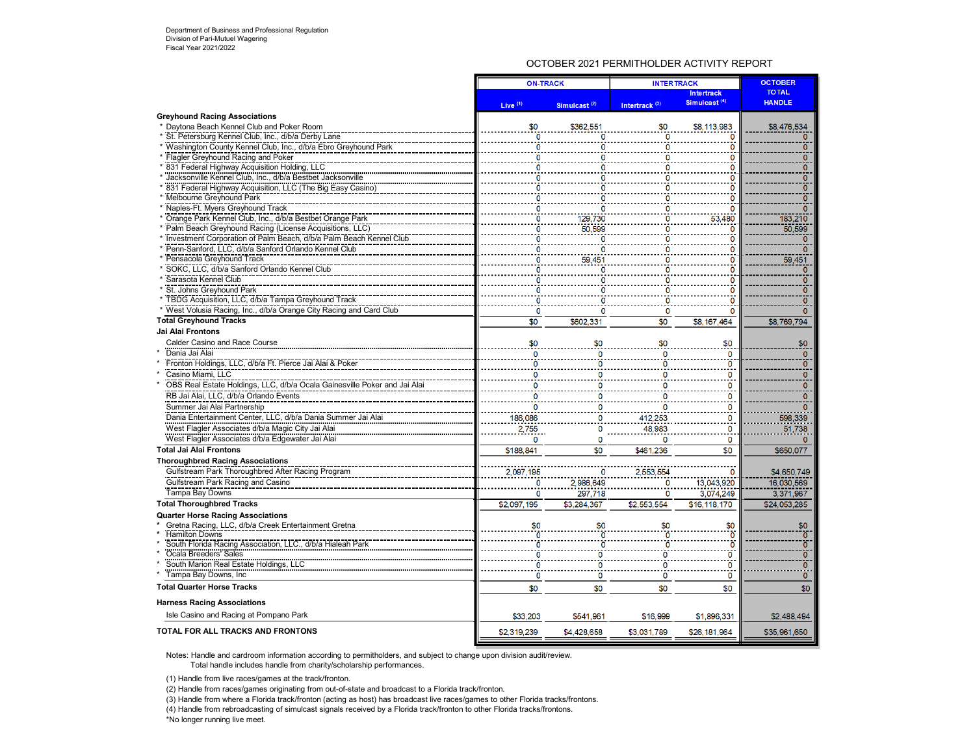## OCTOBER 2021 PERMITHOLDER ACTIVITY REPORT

|                                                                                                  | <b>ON-TRACK</b>     |                          | <b>INTERTRACK</b>         | <b>OCTOBER</b>           |                           |
|--------------------------------------------------------------------------------------------------|---------------------|--------------------------|---------------------------|--------------------------|---------------------------|
|                                                                                                  |                     |                          |                           | <b>Intertrack</b>        | <b>TOTAL</b>              |
|                                                                                                  | Live <sup>(1)</sup> | Simulcast <sup>(2)</sup> | Intertrack <sup>(3)</sup> | Simulcast <sup>(4)</sup> | <b>HANDLE</b>             |
| <b>Greyhound Racing Associations</b>                                                             |                     |                          |                           |                          |                           |
| * Daytona Beach Kennel Club and Poker Room                                                       | \$0                 | \$362,551                | \$0                       | \$8,113,983              | \$8,476,534               |
| St. Petersburg Kennel Club, Inc., d/b/a Derby Lane                                               |                     |                          | 0                         |                          | $\Omega$                  |
| * Washington County Kennel Club, Inc., d/b/a Ebro Greyhound Park                                 |                     |                          | O                         |                          | $\overline{0}$            |
| Flagler Greyhound Racing and Poker                                                               |                     |                          | 0                         | n                        | $\overline{O}$            |
| 831 Federal Highway Acquisition Holding, LLC                                                     |                     |                          | 0                         |                          | ō                         |
| Jacksonville Kennel Club, Inc., d/b/a Bestbet Jacksonville                                       |                     |                          | 0                         | Ω                        | $\overline{0}$            |
| 831 Federal Highway Acquisition, LLC (The Big Easy Casino)                                       |                     |                          | 0                         | ٥                        | $\overline{\mathfrak{o}}$ |
| Melbourne Greyhound Park                                                                         |                     |                          | Ω                         |                          | 0                         |
| Naples-Ft. Myers Greyhound Track                                                                 |                     |                          | 0                         |                          | $\Omega$                  |
| Orange Park Kennel Club, Inc., d/b/a Bestbet Orange Park                                         |                     | 129,730<br>50,599        | 0                         | 53.480                   | 183,210                   |
| Palm Beach Greyhound Racing (License Acquisitions, LLC)                                          |                     |                          | O                         |                          | 50.599                    |
| * Investment Corporation of Palm Beach, d/b/a Palm Beach Kennel Club                             |                     |                          | 0                         |                          | $\mathbf{0}$              |
| * Penn-Sanford, LLC, d/b/a Sanford Orlando Kennel Club                                           |                     |                          |                           | Ω                        | $\overline{0}$            |
| Pensacola Greyhound Track                                                                        |                     | 59,451                   | $\mathbf 0$               | 0                        | 59.451                    |
| SOKC, LLC, d/b/a Sanford Orlando Kennel Club                                                     |                     |                          | 0                         |                          | $\mathbf{O}$              |
| Sarasota Kennel Club                                                                             |                     |                          |                           |                          | $\overline{0}$            |
| St. Johns Greyhound Park                                                                         |                     |                          | ٥                         |                          | $\overline{0}$            |
| TBDG Acquisition, LLC, d/b/a Tampa Greyhound Track                                               |                     |                          |                           |                          | 0                         |
| * West Volusia Racing, Inc., d/b/a Orange City Racing and Card Club                              | O                   |                          | 0                         | 0                        | $\overline{0}$            |
| <b>Total Greyhound Tracks</b>                                                                    | \$0                 | \$602.331                | \$0                       | \$8,167,464              | \$8,769,794               |
| Jai Alai Frontons                                                                                |                     |                          |                           |                          |                           |
| Calder Casino and Race Course                                                                    | \$0                 | \$0                      | \$0                       | \$0                      | \$0                       |
| Dania Jai Alai                                                                                   | n                   | n                        | n                         | $\Omega$                 | $\mathbf 0$               |
| Fronton Holdings, LLC, d/b/a Ft. Pierce Jai Alai & Poker                                         |                     |                          |                           |                          | ō                         |
| Casino Miami. LLC                                                                                |                     | n                        |                           | n                        | $\pmb{0}$                 |
| OBS Real Estate Holdings, LLC, d/b/a Ocala Gainesville Poker and Jai Alai                        |                     |                          |                           | n                        | $\mathbf{0}$              |
| RB Jai Alai, LLC, d/b/a Orlando Events                                                           |                     | 0                        |                           | 0                        | $\mathbf{0}$              |
| Summer Jai Alai Partnership                                                                      |                     | n                        | n                         | O                        | $\Omega$                  |
| Dania Entertainment Center, LLC, d/b/a Dania Summer Jai Alai                                     | 186,086             | o                        | 412,253                   | 0                        | 598,339                   |
| West Flagler Associates d/b/a Magic City Jai Alai                                                | 2,755               | 0                        | 48,983                    | 0                        | 51,738                    |
| West Flagler Associates d/b/a Edgewater Jai Alai                                                 | O                   | $\Omega$                 |                           | 0                        |                           |
| <b>Total Jai Alai Frontons</b>                                                                   | \$188,841           | \$0                      | \$461.236                 | \$0                      | \$650,077                 |
| <b>Thoroughbred Racing Associations</b>                                                          |                     |                          |                           |                          |                           |
| Gulfstream Park Thoroughbred After Racing Program                                                | 2,097,195           | 0                        | 2,553,554                 | 0                        | \$4,650,749               |
| Gulfstream Park Racing and Casino                                                                |                     | 2,986,649                | $\Omega$                  | 13,043,920               | 16,030,569                |
| Tampa Bay Downs                                                                                  | n                   | 297,718                  | 0                         | 3,074,249                | 3.371.967                 |
| <b>Total Thoroughbred Tracks</b>                                                                 | \$2,097,195         | \$3,284,367              | \$2,553,554               | \$16,118,170             | \$24,053,285              |
|                                                                                                  |                     |                          |                           |                          |                           |
| <b>Quarter Horse Racing Associations</b><br>Gretna Racing, LLC, d/b/a Creek Entertainment Gretna |                     |                          |                           |                          |                           |
| <b>Hamilton Downs</b>                                                                            | \$0                 | \$0                      | \$0                       | \$0                      | \$0<br>$\overline{0}$     |
| South Florida Racing Association, LLC., d/b/a Hialeah Park                                       |                     |                          |                           |                          | ์ดั                       |
| Ocala Breeders' Sales                                                                            |                     | 0                        | $\Omega$                  | 0                        | $\overline{\mathfrak{o}}$ |
| South Marion Real Estate Holdings, LLC                                                           |                     | n                        |                           | ö                        | $\overline{\mathfrak{o}}$ |
| Tampa Bay Downs, Inc.                                                                            | O                   | 0                        | 0                         | 0                        | $\mathbf{0}$              |
| <b>Total Quarter Horse Tracks</b>                                                                | \$0                 |                          |                           |                          |                           |
|                                                                                                  |                     | \$0                      | \$0                       | \$0                      | \$0                       |
| <b>Harness Racing Associations</b>                                                               |                     |                          |                           |                          |                           |
| Isle Casino and Racing at Pompano Park                                                           | \$33,203            | \$541,961                | \$16,999                  | \$1,896,331              | \$2,488,494               |
| TOTAL FOR ALL TRACKS AND FRONTONS                                                                | \$2,319,239         | \$4,428,658              | \$3.031.789               | \$26,181.964             | \$35,961,650              |

Notes: Handle and cardroom information according to permitholders, and subject to change upon division audit/review. Total handle includes handle from charity/scholarship performances.

(1) Handle from live races/games at the track/fronton.

(2) Handle from races/games originating from out-of-state and broadcast to a Florida track/fronton.

(3) Handle from where a Florida track/fronton (acting as host) has broadcast live races/games to other Florida tracks/frontons.

(4) Handle from rebroadcasting of simulcast signals received by a Florida track/fronton to other Florida tracks/frontons.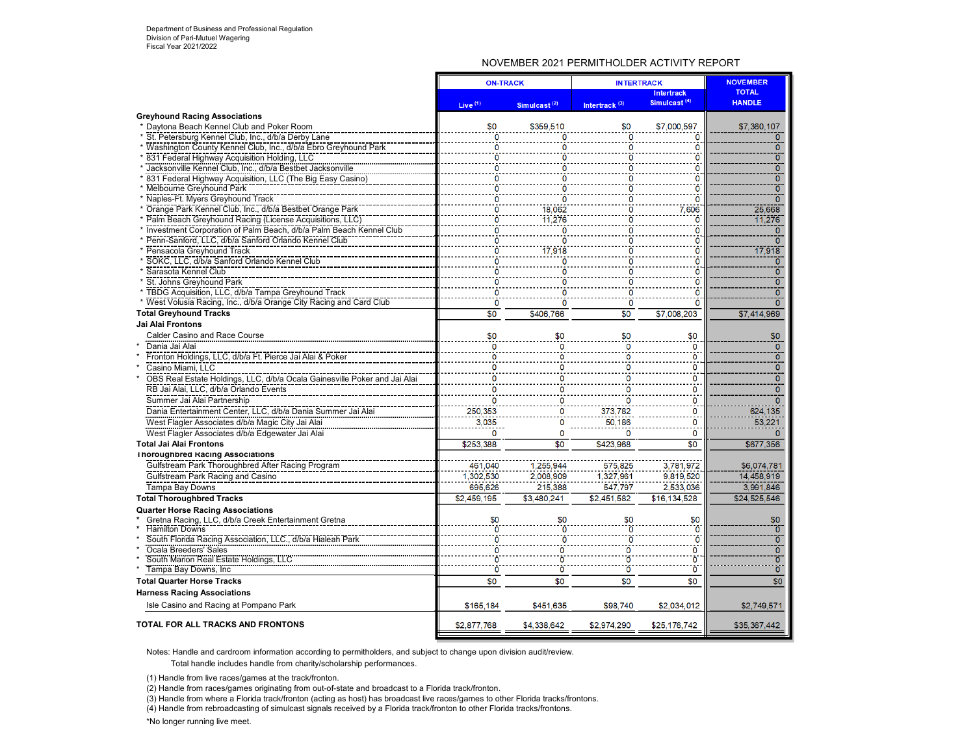### NOVEMBER 2021 PERMITHOLDER ACTIVITY REPORT

| <b>Intertrack</b><br>Simulcast <sup>(4)</sup><br><b>HANDLE</b><br>Intertrack <sup>(3)</sup><br>Live <sup>(1)</sup><br>Simulcast <sup>(2)</sup><br><b>Greyhound Racing Associations</b><br>\$0<br>* Davtona Beach Kennel Club and Poker Room<br>\$0<br>\$359,510<br>\$7,000.597<br>\$7,360,107<br>$\ddot{\mathbf{0}}$<br>* St. Petersburg Kennel Club, Inc., d/b/a Derby Lane<br>$\Omega$<br>0<br>$\Omega$<br>$\Omega$<br>* Washington County Kennel Club, Inc., d/b/a Ebro Greyhound Park<br>Ö<br>ō<br>0<br>0<br>O<br>$\overline{0}$<br>831 Federal Highway Acquisition Holding, LLC<br>ö<br>o<br>$\overline{0}$<br>$\overline{0}$<br>Jacksonville Kennel Club, Inc., d/b/a Bestbet Jacksonville<br>0<br>$\mathbf 0$<br>0<br>Ω<br>ō<br>831 Federal Highway Acquisition, LLC (The Big Easy Casino)<br>0<br>0<br>0<br>$\overline{0}$<br>ö<br><b>Melbourne Greyhound Park</b><br>ō<br>Naples-Ft. Myers Greyhound Track<br>$\Omega$<br>0<br>0<br>* Orange Park Kennel Club, Inc., d/b/a Bestbet Orange Park<br>Ō<br>18,062<br>25,668<br>7,606<br>ò<br>11.276<br>$\ddot{\mathbf{0}}$<br>11,276<br>Ö<br>* Investment Corporation of Palm Beach, d/b/a Palm Beach Kennel Club<br>ö<br>ō<br>ō<br>O<br>Penn-Sanford, LLC, d/b/a Sanford Orlando Kennel Club<br>$\overline{0}$<br>0<br>$\Omega$<br>0<br>* Pensacola Greyhound Track<br>ò<br>17.918<br>$\ddot{\mathbf{0}}$<br>17,918<br>ö<br>* SOKC, LLC, d/b/a Sanford Orlando Kennel Club<br>Ō<br>$\overline{0}$<br>0<br>0<br>$\overline{0}$<br>Sarasota Kennel Club<br>ō<br>ö<br>O<br>$\overline{0}$<br>* St. Johns Greyhound Park<br>ō<br>ö<br>ö<br>n<br>* TBDG Acquisition, LLC, d/b/a Tampa Greyhound Track<br>ō<br>Ō<br>'n<br>Ö<br>O<br>$\overline{0}$<br>* West Volusia Racing, Inc., d/b/a Orange City Racing and Card Club<br>ö<br>O<br>٥<br><b>Total Greyhound Tracks</b><br>\$0<br>\$0<br>\$7,008,203<br>\$7,414,969<br>\$406,766<br>Jai Alai Frontons<br>\$0<br><b>Calder Casino and Race Course</b><br>\$0<br>\$0<br>\$0<br>\$0<br>Dania Jai Alai<br>$\mathbf{0}$<br>0<br>0<br>$\overline{0}$<br>Fronton Holdings, LLC, d/b/a Ft. Pierce Jai Alai & Poker<br>$\overline{\mathbf{0}}$<br>C<br>Ω<br>o<br>ō<br>Casino Miami, LLC<br>0<br>0<br>0<br>0<br>$\overline{0}$<br>$\mathbf 0$<br>OBS Real Estate Holdings, LLC, d/b/a Ocala Gainesville Poker and Jai Alai<br>0<br>$\Omega$<br>$\overline{0}$<br>RB Jai Alai, LLC, d/b/a Orlando Events<br>$\overline{0}$<br>0<br>0<br>Summer Jai Alai Partnership<br>O<br>O<br>0<br>250,353<br>Dania Entertainment Center, LLC, d/b/a Dania Summer Jai Alai<br>373.782<br>$\overline{\mathbf{0}}$<br>624,135<br>Ω<br>50,186<br>3.035<br>$\mathbf 0$<br>West Flagler Associates d/b/a Magic City Jai Alai<br>53,221<br>n<br>West Flagler Associates d/b/a Edgewater Jai Alai<br>$\Omega$<br>0<br>0<br>0<br><b>Total Jai Alai Frontons</b><br>\$253,388<br>\$0<br>\$423,968<br>\$0<br>\$677.356<br><b>Thoroughbred Racing Associations</b><br>Gulfstream Park Thoroughbred After Racing Program<br>575,825<br>3,781,972<br>461.040<br>1,255,944<br>\$6,074,781<br>Gulfstream Park Racing and Casino<br>1.302.530<br>1.327.961<br>9.819.520<br>14.458.919<br>2,008,909<br>Tampa Bay Downs<br>695.626<br>215.388<br>547.797<br>2,533,036<br>3.991.846<br>\$2,459.195<br>\$3.480.241<br>\$2.451.582<br>\$24,525,546<br>\$16.134.528<br><b>Quarter Horse Racing Associations</b><br>Gretna Racing, LLC, d/b/a Creek Entertainment Gretna<br>\$0<br>\$0<br>\$0<br>\$0<br>\$0<br>ö<br>Ō<br>$\ddot{\mathbf{0}}$<br>$\overline{0}$<br><b>Hamilton Downs</b><br>ö<br>South Florida Racing Association, LLC., d/b/a Hialeah Park<br>Ō<br>Ò<br>$\overline{0}$<br>ö<br>$\overline{0}$<br>Ocala Breeders' Sales<br>ö<br>Ō<br>0<br>٥<br>South Marion Real Estate Holdings, LLC<br>Ò<br>ö<br>$\overline{0}$<br>Ò<br>$\ddot{\mathbf{0}}$<br>$\overline{0}$<br>$\overline{0}$<br>ö<br>$\overline{0}$<br>Tampa Bay Downs, Inc.<br>\$0<br>\$0<br>\$0<br>\$0<br>\$0<br><b>Harness Racing Associations</b><br>Isle Casino and Racing at Pompano Park<br>\$165,184<br>\$451,635<br>\$98,740<br>\$2,034,012<br>\$2,749,571<br><b>TOTAL FOR ALL TRACKS AND FRONTONS</b><br>\$2,877,768<br>\$4,338,642<br>\$2,974,290<br>\$35,367,442<br>\$25,176,742 |                                   | <b>ON-TRACK</b> |  | <b>INTERTRACK</b> | <b>NOVEMBER</b> |              |
|---------------------------------------------------------------------------------------------------------------------------------------------------------------------------------------------------------------------------------------------------------------------------------------------------------------------------------------------------------------------------------------------------------------------------------------------------------------------------------------------------------------------------------------------------------------------------------------------------------------------------------------------------------------------------------------------------------------------------------------------------------------------------------------------------------------------------------------------------------------------------------------------------------------------------------------------------------------------------------------------------------------------------------------------------------------------------------------------------------------------------------------------------------------------------------------------------------------------------------------------------------------------------------------------------------------------------------------------------------------------------------------------------------------------------------------------------------------------------------------------------------------------------------------------------------------------------------------------------------------------------------------------------------------------------------------------------------------------------------------------------------------------------------------------------------------------------------------------------------------------------------------------------------------------------------------------------------------------------------------------------------------------------------------------------------------------------------------------------------------------------------------------------------------------------------------------------------------------------------------------------------------------------------------------------------------------------------------------------------------------------------------------------------------------------------------------------------------------------------------------------------------------------------------------------------------------------------------------------------------------------------------------------------------------------------------------------------------------------------------------------------------------------------------------------------------------------------------------------------------------------------------------------------------------------------------------------------------------------------------------------------------------------------------------------------------------------------------------------------------------------------------------------------------------------------------------------------------------------------------------------------------------------------------------------------------------------------------------------------------------------------------------------------------------------------------------------------------------------------------------------------------------------------------------------------------------------------------------------------------------------------------------------------------------------------------------------------------------------------------------------------------------------------------------------------------------------------------------------------------------------------------------------------------------------------------------------------------------------------------------------------------------------------------------------------------------------------------------------------------------------------------------------------------------------------------------------------------------|-----------------------------------|-----------------|--|-------------------|-----------------|--------------|
|                                                                                                                                                                                                                                                                                                                                                                                                                                                                                                                                                                                                                                                                                                                                                                                                                                                                                                                                                                                                                                                                                                                                                                                                                                                                                                                                                                                                                                                                                                                                                                                                                                                                                                                                                                                                                                                                                                                                                                                                                                                                                                                                                                                                                                                                                                                                                                                                                                                                                                                                                                                                                                                                                                                                                                                                                                                                                                                                                                                                                                                                                                                                                                                                                                                                                                                                                                                                                                                                                                                                                                                                                                                                                                                                                                                                                                                                                                                                                                                                                                                                                                                                                                                                                     |                                   |                 |  |                   |                 | <b>TOTAL</b> |
|                                                                                                                                                                                                                                                                                                                                                                                                                                                                                                                                                                                                                                                                                                                                                                                                                                                                                                                                                                                                                                                                                                                                                                                                                                                                                                                                                                                                                                                                                                                                                                                                                                                                                                                                                                                                                                                                                                                                                                                                                                                                                                                                                                                                                                                                                                                                                                                                                                                                                                                                                                                                                                                                                                                                                                                                                                                                                                                                                                                                                                                                                                                                                                                                                                                                                                                                                                                                                                                                                                                                                                                                                                                                                                                                                                                                                                                                                                                                                                                                                                                                                                                                                                                                                     |                                   |                 |  |                   |                 |              |
|                                                                                                                                                                                                                                                                                                                                                                                                                                                                                                                                                                                                                                                                                                                                                                                                                                                                                                                                                                                                                                                                                                                                                                                                                                                                                                                                                                                                                                                                                                                                                                                                                                                                                                                                                                                                                                                                                                                                                                                                                                                                                                                                                                                                                                                                                                                                                                                                                                                                                                                                                                                                                                                                                                                                                                                                                                                                                                                                                                                                                                                                                                                                                                                                                                                                                                                                                                                                                                                                                                                                                                                                                                                                                                                                                                                                                                                                                                                                                                                                                                                                                                                                                                                                                     |                                   |                 |  |                   |                 |              |
|                                                                                                                                                                                                                                                                                                                                                                                                                                                                                                                                                                                                                                                                                                                                                                                                                                                                                                                                                                                                                                                                                                                                                                                                                                                                                                                                                                                                                                                                                                                                                                                                                                                                                                                                                                                                                                                                                                                                                                                                                                                                                                                                                                                                                                                                                                                                                                                                                                                                                                                                                                                                                                                                                                                                                                                                                                                                                                                                                                                                                                                                                                                                                                                                                                                                                                                                                                                                                                                                                                                                                                                                                                                                                                                                                                                                                                                                                                                                                                                                                                                                                                                                                                                                                     |                                   |                 |  |                   |                 |              |
|                                                                                                                                                                                                                                                                                                                                                                                                                                                                                                                                                                                                                                                                                                                                                                                                                                                                                                                                                                                                                                                                                                                                                                                                                                                                                                                                                                                                                                                                                                                                                                                                                                                                                                                                                                                                                                                                                                                                                                                                                                                                                                                                                                                                                                                                                                                                                                                                                                                                                                                                                                                                                                                                                                                                                                                                                                                                                                                                                                                                                                                                                                                                                                                                                                                                                                                                                                                                                                                                                                                                                                                                                                                                                                                                                                                                                                                                                                                                                                                                                                                                                                                                                                                                                     |                                   |                 |  |                   |                 |              |
|                                                                                                                                                                                                                                                                                                                                                                                                                                                                                                                                                                                                                                                                                                                                                                                                                                                                                                                                                                                                                                                                                                                                                                                                                                                                                                                                                                                                                                                                                                                                                                                                                                                                                                                                                                                                                                                                                                                                                                                                                                                                                                                                                                                                                                                                                                                                                                                                                                                                                                                                                                                                                                                                                                                                                                                                                                                                                                                                                                                                                                                                                                                                                                                                                                                                                                                                                                                                                                                                                                                                                                                                                                                                                                                                                                                                                                                                                                                                                                                                                                                                                                                                                                                                                     |                                   |                 |  |                   |                 |              |
|                                                                                                                                                                                                                                                                                                                                                                                                                                                                                                                                                                                                                                                                                                                                                                                                                                                                                                                                                                                                                                                                                                                                                                                                                                                                                                                                                                                                                                                                                                                                                                                                                                                                                                                                                                                                                                                                                                                                                                                                                                                                                                                                                                                                                                                                                                                                                                                                                                                                                                                                                                                                                                                                                                                                                                                                                                                                                                                                                                                                                                                                                                                                                                                                                                                                                                                                                                                                                                                                                                                                                                                                                                                                                                                                                                                                                                                                                                                                                                                                                                                                                                                                                                                                                     |                                   |                 |  |                   |                 |              |
|                                                                                                                                                                                                                                                                                                                                                                                                                                                                                                                                                                                                                                                                                                                                                                                                                                                                                                                                                                                                                                                                                                                                                                                                                                                                                                                                                                                                                                                                                                                                                                                                                                                                                                                                                                                                                                                                                                                                                                                                                                                                                                                                                                                                                                                                                                                                                                                                                                                                                                                                                                                                                                                                                                                                                                                                                                                                                                                                                                                                                                                                                                                                                                                                                                                                                                                                                                                                                                                                                                                                                                                                                                                                                                                                                                                                                                                                                                                                                                                                                                                                                                                                                                                                                     |                                   |                 |  |                   |                 |              |
|                                                                                                                                                                                                                                                                                                                                                                                                                                                                                                                                                                                                                                                                                                                                                                                                                                                                                                                                                                                                                                                                                                                                                                                                                                                                                                                                                                                                                                                                                                                                                                                                                                                                                                                                                                                                                                                                                                                                                                                                                                                                                                                                                                                                                                                                                                                                                                                                                                                                                                                                                                                                                                                                                                                                                                                                                                                                                                                                                                                                                                                                                                                                                                                                                                                                                                                                                                                                                                                                                                                                                                                                                                                                                                                                                                                                                                                                                                                                                                                                                                                                                                                                                                                                                     |                                   |                 |  |                   |                 |              |
|                                                                                                                                                                                                                                                                                                                                                                                                                                                                                                                                                                                                                                                                                                                                                                                                                                                                                                                                                                                                                                                                                                                                                                                                                                                                                                                                                                                                                                                                                                                                                                                                                                                                                                                                                                                                                                                                                                                                                                                                                                                                                                                                                                                                                                                                                                                                                                                                                                                                                                                                                                                                                                                                                                                                                                                                                                                                                                                                                                                                                                                                                                                                                                                                                                                                                                                                                                                                                                                                                                                                                                                                                                                                                                                                                                                                                                                                                                                                                                                                                                                                                                                                                                                                                     |                                   |                 |  |                   |                 |              |
|                                                                                                                                                                                                                                                                                                                                                                                                                                                                                                                                                                                                                                                                                                                                                                                                                                                                                                                                                                                                                                                                                                                                                                                                                                                                                                                                                                                                                                                                                                                                                                                                                                                                                                                                                                                                                                                                                                                                                                                                                                                                                                                                                                                                                                                                                                                                                                                                                                                                                                                                                                                                                                                                                                                                                                                                                                                                                                                                                                                                                                                                                                                                                                                                                                                                                                                                                                                                                                                                                                                                                                                                                                                                                                                                                                                                                                                                                                                                                                                                                                                                                                                                                                                                                     |                                   |                 |  |                   |                 |              |
|                                                                                                                                                                                                                                                                                                                                                                                                                                                                                                                                                                                                                                                                                                                                                                                                                                                                                                                                                                                                                                                                                                                                                                                                                                                                                                                                                                                                                                                                                                                                                                                                                                                                                                                                                                                                                                                                                                                                                                                                                                                                                                                                                                                                                                                                                                                                                                                                                                                                                                                                                                                                                                                                                                                                                                                                                                                                                                                                                                                                                                                                                                                                                                                                                                                                                                                                                                                                                                                                                                                                                                                                                                                                                                                                                                                                                                                                                                                                                                                                                                                                                                                                                                                                                     |                                   |                 |  |                   |                 |              |
|                                                                                                                                                                                                                                                                                                                                                                                                                                                                                                                                                                                                                                                                                                                                                                                                                                                                                                                                                                                                                                                                                                                                                                                                                                                                                                                                                                                                                                                                                                                                                                                                                                                                                                                                                                                                                                                                                                                                                                                                                                                                                                                                                                                                                                                                                                                                                                                                                                                                                                                                                                                                                                                                                                                                                                                                                                                                                                                                                                                                                                                                                                                                                                                                                                                                                                                                                                                                                                                                                                                                                                                                                                                                                                                                                                                                                                                                                                                                                                                                                                                                                                                                                                                                                     |                                   |                 |  |                   |                 |              |
|                                                                                                                                                                                                                                                                                                                                                                                                                                                                                                                                                                                                                                                                                                                                                                                                                                                                                                                                                                                                                                                                                                                                                                                                                                                                                                                                                                                                                                                                                                                                                                                                                                                                                                                                                                                                                                                                                                                                                                                                                                                                                                                                                                                                                                                                                                                                                                                                                                                                                                                                                                                                                                                                                                                                                                                                                                                                                                                                                                                                                                                                                                                                                                                                                                                                                                                                                                                                                                                                                                                                                                                                                                                                                                                                                                                                                                                                                                                                                                                                                                                                                                                                                                                                                     |                                   |                 |  |                   |                 |              |
|                                                                                                                                                                                                                                                                                                                                                                                                                                                                                                                                                                                                                                                                                                                                                                                                                                                                                                                                                                                                                                                                                                                                                                                                                                                                                                                                                                                                                                                                                                                                                                                                                                                                                                                                                                                                                                                                                                                                                                                                                                                                                                                                                                                                                                                                                                                                                                                                                                                                                                                                                                                                                                                                                                                                                                                                                                                                                                                                                                                                                                                                                                                                                                                                                                                                                                                                                                                                                                                                                                                                                                                                                                                                                                                                                                                                                                                                                                                                                                                                                                                                                                                                                                                                                     |                                   |                 |  |                   |                 |              |
|                                                                                                                                                                                                                                                                                                                                                                                                                                                                                                                                                                                                                                                                                                                                                                                                                                                                                                                                                                                                                                                                                                                                                                                                                                                                                                                                                                                                                                                                                                                                                                                                                                                                                                                                                                                                                                                                                                                                                                                                                                                                                                                                                                                                                                                                                                                                                                                                                                                                                                                                                                                                                                                                                                                                                                                                                                                                                                                                                                                                                                                                                                                                                                                                                                                                                                                                                                                                                                                                                                                                                                                                                                                                                                                                                                                                                                                                                                                                                                                                                                                                                                                                                                                                                     |                                   |                 |  |                   |                 |              |
|                                                                                                                                                                                                                                                                                                                                                                                                                                                                                                                                                                                                                                                                                                                                                                                                                                                                                                                                                                                                                                                                                                                                                                                                                                                                                                                                                                                                                                                                                                                                                                                                                                                                                                                                                                                                                                                                                                                                                                                                                                                                                                                                                                                                                                                                                                                                                                                                                                                                                                                                                                                                                                                                                                                                                                                                                                                                                                                                                                                                                                                                                                                                                                                                                                                                                                                                                                                                                                                                                                                                                                                                                                                                                                                                                                                                                                                                                                                                                                                                                                                                                                                                                                                                                     |                                   |                 |  |                   |                 |              |
|                                                                                                                                                                                                                                                                                                                                                                                                                                                                                                                                                                                                                                                                                                                                                                                                                                                                                                                                                                                                                                                                                                                                                                                                                                                                                                                                                                                                                                                                                                                                                                                                                                                                                                                                                                                                                                                                                                                                                                                                                                                                                                                                                                                                                                                                                                                                                                                                                                                                                                                                                                                                                                                                                                                                                                                                                                                                                                                                                                                                                                                                                                                                                                                                                                                                                                                                                                                                                                                                                                                                                                                                                                                                                                                                                                                                                                                                                                                                                                                                                                                                                                                                                                                                                     |                                   |                 |  |                   |                 |              |
|                                                                                                                                                                                                                                                                                                                                                                                                                                                                                                                                                                                                                                                                                                                                                                                                                                                                                                                                                                                                                                                                                                                                                                                                                                                                                                                                                                                                                                                                                                                                                                                                                                                                                                                                                                                                                                                                                                                                                                                                                                                                                                                                                                                                                                                                                                                                                                                                                                                                                                                                                                                                                                                                                                                                                                                                                                                                                                                                                                                                                                                                                                                                                                                                                                                                                                                                                                                                                                                                                                                                                                                                                                                                                                                                                                                                                                                                                                                                                                                                                                                                                                                                                                                                                     |                                   |                 |  |                   |                 |              |
|                                                                                                                                                                                                                                                                                                                                                                                                                                                                                                                                                                                                                                                                                                                                                                                                                                                                                                                                                                                                                                                                                                                                                                                                                                                                                                                                                                                                                                                                                                                                                                                                                                                                                                                                                                                                                                                                                                                                                                                                                                                                                                                                                                                                                                                                                                                                                                                                                                                                                                                                                                                                                                                                                                                                                                                                                                                                                                                                                                                                                                                                                                                                                                                                                                                                                                                                                                                                                                                                                                                                                                                                                                                                                                                                                                                                                                                                                                                                                                                                                                                                                                                                                                                                                     |                                   |                 |  |                   |                 |              |
|                                                                                                                                                                                                                                                                                                                                                                                                                                                                                                                                                                                                                                                                                                                                                                                                                                                                                                                                                                                                                                                                                                                                                                                                                                                                                                                                                                                                                                                                                                                                                                                                                                                                                                                                                                                                                                                                                                                                                                                                                                                                                                                                                                                                                                                                                                                                                                                                                                                                                                                                                                                                                                                                                                                                                                                                                                                                                                                                                                                                                                                                                                                                                                                                                                                                                                                                                                                                                                                                                                                                                                                                                                                                                                                                                                                                                                                                                                                                                                                                                                                                                                                                                                                                                     |                                   |                 |  |                   |                 |              |
|                                                                                                                                                                                                                                                                                                                                                                                                                                                                                                                                                                                                                                                                                                                                                                                                                                                                                                                                                                                                                                                                                                                                                                                                                                                                                                                                                                                                                                                                                                                                                                                                                                                                                                                                                                                                                                                                                                                                                                                                                                                                                                                                                                                                                                                                                                                                                                                                                                                                                                                                                                                                                                                                                                                                                                                                                                                                                                                                                                                                                                                                                                                                                                                                                                                                                                                                                                                                                                                                                                                                                                                                                                                                                                                                                                                                                                                                                                                                                                                                                                                                                                                                                                                                                     |                                   |                 |  |                   |                 |              |
|                                                                                                                                                                                                                                                                                                                                                                                                                                                                                                                                                                                                                                                                                                                                                                                                                                                                                                                                                                                                                                                                                                                                                                                                                                                                                                                                                                                                                                                                                                                                                                                                                                                                                                                                                                                                                                                                                                                                                                                                                                                                                                                                                                                                                                                                                                                                                                                                                                                                                                                                                                                                                                                                                                                                                                                                                                                                                                                                                                                                                                                                                                                                                                                                                                                                                                                                                                                                                                                                                                                                                                                                                                                                                                                                                                                                                                                                                                                                                                                                                                                                                                                                                                                                                     |                                   |                 |  |                   |                 |              |
|                                                                                                                                                                                                                                                                                                                                                                                                                                                                                                                                                                                                                                                                                                                                                                                                                                                                                                                                                                                                                                                                                                                                                                                                                                                                                                                                                                                                                                                                                                                                                                                                                                                                                                                                                                                                                                                                                                                                                                                                                                                                                                                                                                                                                                                                                                                                                                                                                                                                                                                                                                                                                                                                                                                                                                                                                                                                                                                                                                                                                                                                                                                                                                                                                                                                                                                                                                                                                                                                                                                                                                                                                                                                                                                                                                                                                                                                                                                                                                                                                                                                                                                                                                                                                     |                                   |                 |  |                   |                 |              |
|                                                                                                                                                                                                                                                                                                                                                                                                                                                                                                                                                                                                                                                                                                                                                                                                                                                                                                                                                                                                                                                                                                                                                                                                                                                                                                                                                                                                                                                                                                                                                                                                                                                                                                                                                                                                                                                                                                                                                                                                                                                                                                                                                                                                                                                                                                                                                                                                                                                                                                                                                                                                                                                                                                                                                                                                                                                                                                                                                                                                                                                                                                                                                                                                                                                                                                                                                                                                                                                                                                                                                                                                                                                                                                                                                                                                                                                                                                                                                                                                                                                                                                                                                                                                                     |                                   |                 |  |                   |                 |              |
|                                                                                                                                                                                                                                                                                                                                                                                                                                                                                                                                                                                                                                                                                                                                                                                                                                                                                                                                                                                                                                                                                                                                                                                                                                                                                                                                                                                                                                                                                                                                                                                                                                                                                                                                                                                                                                                                                                                                                                                                                                                                                                                                                                                                                                                                                                                                                                                                                                                                                                                                                                                                                                                                                                                                                                                                                                                                                                                                                                                                                                                                                                                                                                                                                                                                                                                                                                                                                                                                                                                                                                                                                                                                                                                                                                                                                                                                                                                                                                                                                                                                                                                                                                                                                     |                                   |                 |  |                   |                 |              |
|                                                                                                                                                                                                                                                                                                                                                                                                                                                                                                                                                                                                                                                                                                                                                                                                                                                                                                                                                                                                                                                                                                                                                                                                                                                                                                                                                                                                                                                                                                                                                                                                                                                                                                                                                                                                                                                                                                                                                                                                                                                                                                                                                                                                                                                                                                                                                                                                                                                                                                                                                                                                                                                                                                                                                                                                                                                                                                                                                                                                                                                                                                                                                                                                                                                                                                                                                                                                                                                                                                                                                                                                                                                                                                                                                                                                                                                                                                                                                                                                                                                                                                                                                                                                                     |                                   |                 |  |                   |                 |              |
|                                                                                                                                                                                                                                                                                                                                                                                                                                                                                                                                                                                                                                                                                                                                                                                                                                                                                                                                                                                                                                                                                                                                                                                                                                                                                                                                                                                                                                                                                                                                                                                                                                                                                                                                                                                                                                                                                                                                                                                                                                                                                                                                                                                                                                                                                                                                                                                                                                                                                                                                                                                                                                                                                                                                                                                                                                                                                                                                                                                                                                                                                                                                                                                                                                                                                                                                                                                                                                                                                                                                                                                                                                                                                                                                                                                                                                                                                                                                                                                                                                                                                                                                                                                                                     |                                   |                 |  |                   |                 |              |
|                                                                                                                                                                                                                                                                                                                                                                                                                                                                                                                                                                                                                                                                                                                                                                                                                                                                                                                                                                                                                                                                                                                                                                                                                                                                                                                                                                                                                                                                                                                                                                                                                                                                                                                                                                                                                                                                                                                                                                                                                                                                                                                                                                                                                                                                                                                                                                                                                                                                                                                                                                                                                                                                                                                                                                                                                                                                                                                                                                                                                                                                                                                                                                                                                                                                                                                                                                                                                                                                                                                                                                                                                                                                                                                                                                                                                                                                                                                                                                                                                                                                                                                                                                                                                     |                                   |                 |  |                   |                 |              |
|                                                                                                                                                                                                                                                                                                                                                                                                                                                                                                                                                                                                                                                                                                                                                                                                                                                                                                                                                                                                                                                                                                                                                                                                                                                                                                                                                                                                                                                                                                                                                                                                                                                                                                                                                                                                                                                                                                                                                                                                                                                                                                                                                                                                                                                                                                                                                                                                                                                                                                                                                                                                                                                                                                                                                                                                                                                                                                                                                                                                                                                                                                                                                                                                                                                                                                                                                                                                                                                                                                                                                                                                                                                                                                                                                                                                                                                                                                                                                                                                                                                                                                                                                                                                                     |                                   |                 |  |                   |                 |              |
|                                                                                                                                                                                                                                                                                                                                                                                                                                                                                                                                                                                                                                                                                                                                                                                                                                                                                                                                                                                                                                                                                                                                                                                                                                                                                                                                                                                                                                                                                                                                                                                                                                                                                                                                                                                                                                                                                                                                                                                                                                                                                                                                                                                                                                                                                                                                                                                                                                                                                                                                                                                                                                                                                                                                                                                                                                                                                                                                                                                                                                                                                                                                                                                                                                                                                                                                                                                                                                                                                                                                                                                                                                                                                                                                                                                                                                                                                                                                                                                                                                                                                                                                                                                                                     |                                   |                 |  |                   |                 |              |
|                                                                                                                                                                                                                                                                                                                                                                                                                                                                                                                                                                                                                                                                                                                                                                                                                                                                                                                                                                                                                                                                                                                                                                                                                                                                                                                                                                                                                                                                                                                                                                                                                                                                                                                                                                                                                                                                                                                                                                                                                                                                                                                                                                                                                                                                                                                                                                                                                                                                                                                                                                                                                                                                                                                                                                                                                                                                                                                                                                                                                                                                                                                                                                                                                                                                                                                                                                                                                                                                                                                                                                                                                                                                                                                                                                                                                                                                                                                                                                                                                                                                                                                                                                                                                     |                                   |                 |  |                   |                 |              |
|                                                                                                                                                                                                                                                                                                                                                                                                                                                                                                                                                                                                                                                                                                                                                                                                                                                                                                                                                                                                                                                                                                                                                                                                                                                                                                                                                                                                                                                                                                                                                                                                                                                                                                                                                                                                                                                                                                                                                                                                                                                                                                                                                                                                                                                                                                                                                                                                                                                                                                                                                                                                                                                                                                                                                                                                                                                                                                                                                                                                                                                                                                                                                                                                                                                                                                                                                                                                                                                                                                                                                                                                                                                                                                                                                                                                                                                                                                                                                                                                                                                                                                                                                                                                                     |                                   |                 |  |                   |                 |              |
|                                                                                                                                                                                                                                                                                                                                                                                                                                                                                                                                                                                                                                                                                                                                                                                                                                                                                                                                                                                                                                                                                                                                                                                                                                                                                                                                                                                                                                                                                                                                                                                                                                                                                                                                                                                                                                                                                                                                                                                                                                                                                                                                                                                                                                                                                                                                                                                                                                                                                                                                                                                                                                                                                                                                                                                                                                                                                                                                                                                                                                                                                                                                                                                                                                                                                                                                                                                                                                                                                                                                                                                                                                                                                                                                                                                                                                                                                                                                                                                                                                                                                                                                                                                                                     |                                   |                 |  |                   |                 |              |
|                                                                                                                                                                                                                                                                                                                                                                                                                                                                                                                                                                                                                                                                                                                                                                                                                                                                                                                                                                                                                                                                                                                                                                                                                                                                                                                                                                                                                                                                                                                                                                                                                                                                                                                                                                                                                                                                                                                                                                                                                                                                                                                                                                                                                                                                                                                                                                                                                                                                                                                                                                                                                                                                                                                                                                                                                                                                                                                                                                                                                                                                                                                                                                                                                                                                                                                                                                                                                                                                                                                                                                                                                                                                                                                                                                                                                                                                                                                                                                                                                                                                                                                                                                                                                     |                                   |                 |  |                   |                 |              |
|                                                                                                                                                                                                                                                                                                                                                                                                                                                                                                                                                                                                                                                                                                                                                                                                                                                                                                                                                                                                                                                                                                                                                                                                                                                                                                                                                                                                                                                                                                                                                                                                                                                                                                                                                                                                                                                                                                                                                                                                                                                                                                                                                                                                                                                                                                                                                                                                                                                                                                                                                                                                                                                                                                                                                                                                                                                                                                                                                                                                                                                                                                                                                                                                                                                                                                                                                                                                                                                                                                                                                                                                                                                                                                                                                                                                                                                                                                                                                                                                                                                                                                                                                                                                                     |                                   |                 |  |                   |                 |              |
|                                                                                                                                                                                                                                                                                                                                                                                                                                                                                                                                                                                                                                                                                                                                                                                                                                                                                                                                                                                                                                                                                                                                                                                                                                                                                                                                                                                                                                                                                                                                                                                                                                                                                                                                                                                                                                                                                                                                                                                                                                                                                                                                                                                                                                                                                                                                                                                                                                                                                                                                                                                                                                                                                                                                                                                                                                                                                                                                                                                                                                                                                                                                                                                                                                                                                                                                                                                                                                                                                                                                                                                                                                                                                                                                                                                                                                                                                                                                                                                                                                                                                                                                                                                                                     |                                   |                 |  |                   |                 |              |
|                                                                                                                                                                                                                                                                                                                                                                                                                                                                                                                                                                                                                                                                                                                                                                                                                                                                                                                                                                                                                                                                                                                                                                                                                                                                                                                                                                                                                                                                                                                                                                                                                                                                                                                                                                                                                                                                                                                                                                                                                                                                                                                                                                                                                                                                                                                                                                                                                                                                                                                                                                                                                                                                                                                                                                                                                                                                                                                                                                                                                                                                                                                                                                                                                                                                                                                                                                                                                                                                                                                                                                                                                                                                                                                                                                                                                                                                                                                                                                                                                                                                                                                                                                                                                     |                                   |                 |  |                   |                 |              |
|                                                                                                                                                                                                                                                                                                                                                                                                                                                                                                                                                                                                                                                                                                                                                                                                                                                                                                                                                                                                                                                                                                                                                                                                                                                                                                                                                                                                                                                                                                                                                                                                                                                                                                                                                                                                                                                                                                                                                                                                                                                                                                                                                                                                                                                                                                                                                                                                                                                                                                                                                                                                                                                                                                                                                                                                                                                                                                                                                                                                                                                                                                                                                                                                                                                                                                                                                                                                                                                                                                                                                                                                                                                                                                                                                                                                                                                                                                                                                                                                                                                                                                                                                                                                                     | <b>Total Thoroughbred Tracks</b>  |                 |  |                   |                 |              |
|                                                                                                                                                                                                                                                                                                                                                                                                                                                                                                                                                                                                                                                                                                                                                                                                                                                                                                                                                                                                                                                                                                                                                                                                                                                                                                                                                                                                                                                                                                                                                                                                                                                                                                                                                                                                                                                                                                                                                                                                                                                                                                                                                                                                                                                                                                                                                                                                                                                                                                                                                                                                                                                                                                                                                                                                                                                                                                                                                                                                                                                                                                                                                                                                                                                                                                                                                                                                                                                                                                                                                                                                                                                                                                                                                                                                                                                                                                                                                                                                                                                                                                                                                                                                                     |                                   |                 |  |                   |                 |              |
|                                                                                                                                                                                                                                                                                                                                                                                                                                                                                                                                                                                                                                                                                                                                                                                                                                                                                                                                                                                                                                                                                                                                                                                                                                                                                                                                                                                                                                                                                                                                                                                                                                                                                                                                                                                                                                                                                                                                                                                                                                                                                                                                                                                                                                                                                                                                                                                                                                                                                                                                                                                                                                                                                                                                                                                                                                                                                                                                                                                                                                                                                                                                                                                                                                                                                                                                                                                                                                                                                                                                                                                                                                                                                                                                                                                                                                                                                                                                                                                                                                                                                                                                                                                                                     |                                   |                 |  |                   |                 |              |
|                                                                                                                                                                                                                                                                                                                                                                                                                                                                                                                                                                                                                                                                                                                                                                                                                                                                                                                                                                                                                                                                                                                                                                                                                                                                                                                                                                                                                                                                                                                                                                                                                                                                                                                                                                                                                                                                                                                                                                                                                                                                                                                                                                                                                                                                                                                                                                                                                                                                                                                                                                                                                                                                                                                                                                                                                                                                                                                                                                                                                                                                                                                                                                                                                                                                                                                                                                                                                                                                                                                                                                                                                                                                                                                                                                                                                                                                                                                                                                                                                                                                                                                                                                                                                     |                                   |                 |  |                   |                 |              |
|                                                                                                                                                                                                                                                                                                                                                                                                                                                                                                                                                                                                                                                                                                                                                                                                                                                                                                                                                                                                                                                                                                                                                                                                                                                                                                                                                                                                                                                                                                                                                                                                                                                                                                                                                                                                                                                                                                                                                                                                                                                                                                                                                                                                                                                                                                                                                                                                                                                                                                                                                                                                                                                                                                                                                                                                                                                                                                                                                                                                                                                                                                                                                                                                                                                                                                                                                                                                                                                                                                                                                                                                                                                                                                                                                                                                                                                                                                                                                                                                                                                                                                                                                                                                                     |                                   |                 |  |                   |                 |              |
|                                                                                                                                                                                                                                                                                                                                                                                                                                                                                                                                                                                                                                                                                                                                                                                                                                                                                                                                                                                                                                                                                                                                                                                                                                                                                                                                                                                                                                                                                                                                                                                                                                                                                                                                                                                                                                                                                                                                                                                                                                                                                                                                                                                                                                                                                                                                                                                                                                                                                                                                                                                                                                                                                                                                                                                                                                                                                                                                                                                                                                                                                                                                                                                                                                                                                                                                                                                                                                                                                                                                                                                                                                                                                                                                                                                                                                                                                                                                                                                                                                                                                                                                                                                                                     |                                   |                 |  |                   |                 |              |
|                                                                                                                                                                                                                                                                                                                                                                                                                                                                                                                                                                                                                                                                                                                                                                                                                                                                                                                                                                                                                                                                                                                                                                                                                                                                                                                                                                                                                                                                                                                                                                                                                                                                                                                                                                                                                                                                                                                                                                                                                                                                                                                                                                                                                                                                                                                                                                                                                                                                                                                                                                                                                                                                                                                                                                                                                                                                                                                                                                                                                                                                                                                                                                                                                                                                                                                                                                                                                                                                                                                                                                                                                                                                                                                                                                                                                                                                                                                                                                                                                                                                                                                                                                                                                     |                                   |                 |  |                   |                 |              |
|                                                                                                                                                                                                                                                                                                                                                                                                                                                                                                                                                                                                                                                                                                                                                                                                                                                                                                                                                                                                                                                                                                                                                                                                                                                                                                                                                                                                                                                                                                                                                                                                                                                                                                                                                                                                                                                                                                                                                                                                                                                                                                                                                                                                                                                                                                                                                                                                                                                                                                                                                                                                                                                                                                                                                                                                                                                                                                                                                                                                                                                                                                                                                                                                                                                                                                                                                                                                                                                                                                                                                                                                                                                                                                                                                                                                                                                                                                                                                                                                                                                                                                                                                                                                                     |                                   |                 |  |                   |                 |              |
|                                                                                                                                                                                                                                                                                                                                                                                                                                                                                                                                                                                                                                                                                                                                                                                                                                                                                                                                                                                                                                                                                                                                                                                                                                                                                                                                                                                                                                                                                                                                                                                                                                                                                                                                                                                                                                                                                                                                                                                                                                                                                                                                                                                                                                                                                                                                                                                                                                                                                                                                                                                                                                                                                                                                                                                                                                                                                                                                                                                                                                                                                                                                                                                                                                                                                                                                                                                                                                                                                                                                                                                                                                                                                                                                                                                                                                                                                                                                                                                                                                                                                                                                                                                                                     | <b>Total Quarter Horse Tracks</b> |                 |  |                   |                 |              |
|                                                                                                                                                                                                                                                                                                                                                                                                                                                                                                                                                                                                                                                                                                                                                                                                                                                                                                                                                                                                                                                                                                                                                                                                                                                                                                                                                                                                                                                                                                                                                                                                                                                                                                                                                                                                                                                                                                                                                                                                                                                                                                                                                                                                                                                                                                                                                                                                                                                                                                                                                                                                                                                                                                                                                                                                                                                                                                                                                                                                                                                                                                                                                                                                                                                                                                                                                                                                                                                                                                                                                                                                                                                                                                                                                                                                                                                                                                                                                                                                                                                                                                                                                                                                                     |                                   |                 |  |                   |                 |              |
|                                                                                                                                                                                                                                                                                                                                                                                                                                                                                                                                                                                                                                                                                                                                                                                                                                                                                                                                                                                                                                                                                                                                                                                                                                                                                                                                                                                                                                                                                                                                                                                                                                                                                                                                                                                                                                                                                                                                                                                                                                                                                                                                                                                                                                                                                                                                                                                                                                                                                                                                                                                                                                                                                                                                                                                                                                                                                                                                                                                                                                                                                                                                                                                                                                                                                                                                                                                                                                                                                                                                                                                                                                                                                                                                                                                                                                                                                                                                                                                                                                                                                                                                                                                                                     |                                   |                 |  |                   |                 |              |
|                                                                                                                                                                                                                                                                                                                                                                                                                                                                                                                                                                                                                                                                                                                                                                                                                                                                                                                                                                                                                                                                                                                                                                                                                                                                                                                                                                                                                                                                                                                                                                                                                                                                                                                                                                                                                                                                                                                                                                                                                                                                                                                                                                                                                                                                                                                                                                                                                                                                                                                                                                                                                                                                                                                                                                                                                                                                                                                                                                                                                                                                                                                                                                                                                                                                                                                                                                                                                                                                                                                                                                                                                                                                                                                                                                                                                                                                                                                                                                                                                                                                                                                                                                                                                     |                                   |                 |  |                   |                 |              |

Notes: Handle and cardroom information according to permitholders, and subject to change upon division audit/review.

Total handle includes handle from charity/scholarship performances.

(1) Handle from live races/games at the track/fronton.

(2) Handle from races/games originating from out-of-state and broadcast to a Florida track/fronton.

(3) Handle from where a Florida track/fronton (acting as host) has broadcast live races/games to other Florida tracks/frontons.

(4) Handle from rebroadcasting of simulcast signals received by a Florida track/fronton to other Florida tracks/frontons.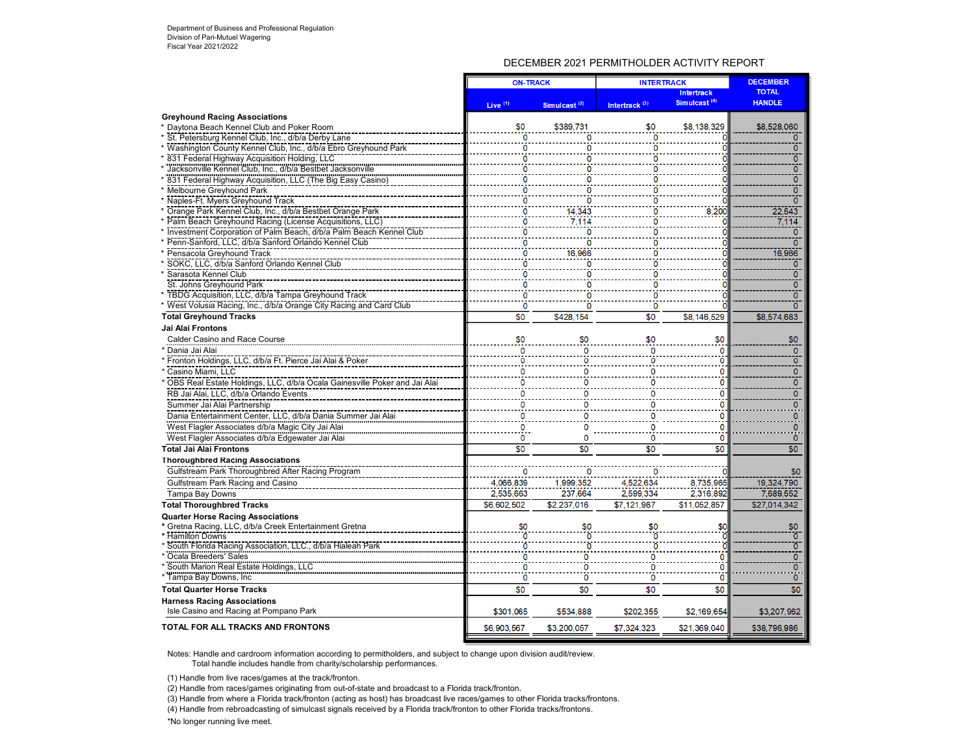# DECEMBER 2021 PERMITHOLDER ACTIVITY REPORT

| <b>TOTAL</b><br><b>Intertrack</b><br>Simulcast <sup>(4)</sup><br><b>HANDLE</b><br>Live <sup>(1)</sup><br>Intertrack <sup>(3)</sup><br>Simulcast <sup>(2)</sup><br><b>Greyhound Racing Associations</b><br>\$0<br>* Daytona Beach Kennel Club and Poker Room<br>\$389,731<br>\$0<br>\$8,138,329<br>\$8,528,060<br>ö<br>* St. Petersburg Kennel Club, Inc., d/b/a Derby Lane<br>$\Omega$<br>$\Omega$<br>٥<br>ö<br>Washington County Kennel Club, Inc., d/b/a Ebro Greyhound Park<br>0<br>$\mathbf{0}$<br>$\overline{0}$<br>831 Federal Highway Acquisition Holding, LLC<br>O<br>O<br>Jacksonville Kennel Club, Inc., d/b/a Bestbet Jacksonville<br>ō<br>0<br>٥<br>Ō<br>* 831 Federal Highway Acquisition, LLC (The Big Easy Casino)<br>$\mathbf{0}$<br>O<br>O<br>$\overline{0}$<br>Melbourne Greyhound Park<br>0<br>Naples-Ft. Myers Greyhound Track<br>ō<br>0<br>0<br>0<br>Orange Park Kennel Club, Inc., d/b/a Bestbet Orange Park<br>14,343<br>8,200<br>22,543<br>0<br>O<br>7,114<br>* Palm Beach Greyhound Racing (License Acquisitions, LLC)<br>$\overline{0}$<br>7.114<br>0<br>* Investment Corporation of Palm Beach, d/b/a Palm Beach Kennel Club<br>0<br>$\Omega$<br>0<br>0<br>$\overline{0}$<br>Penn-Sanford, LLC, d/b/a Sanford Orlando Kennel Club<br>ö<br>Pensacola Greyhound Track<br>16,966<br>o<br>16,966<br>0<br>SOKC, LLC, d/b/a Sanford Orlando Kennel Club<br>$\mathbf{0}$<br>0<br>0<br>0<br>* Sarasota Kennel Club<br>$\overline{0}$<br>o<br>n<br>St. Johns Greyhound Park<br>ō<br>0<br>0<br>ö<br>$\overline{0}$<br>* TBDG Acquisition, LLC, d/b/a Tampa Greyhound Track<br>* West Volusia Racing, Inc., d/b/a Orange City Racing and Card Club<br>$\overline{0}$<br>$\Omega$<br>n<br>$\Omega$<br>$\overline{\$0}$<br><b>Total Greyhound Tracks</b><br>\$0<br>\$8,146,529<br>\$428,154<br>\$8,574,683<br>Jai Alai Frontons<br>\$0<br>\$0<br>\$0<br>\$0<br><b>Calder Casino and Race Course</b><br>\$0<br>$\Omega$<br>* Dania Jai Alai<br>$\Omega$<br>0<br>$\mathbf{0}$<br>o<br>ō<br>* Fronton Holdings, LLC, d/b/a Ft. Pierce Jai Alai & Poker<br>о<br>o<br>Ω<br>Ω<br>* Casino Miami, LLC<br>$\mathbf{0}$<br>0<br>O<br>0<br>O<br>$\overline{0}$<br>$\overline{0}$<br>$\overline{0}$<br>O<br>$\mathbf 0$<br>* OBS Real Estate Holdings, LLC, d/b/a Ocala Gainesville Poker and Jai Alai<br>$\overline{0}$<br>ō<br>$\mathbf{0}$<br>RB Jai Alai, LLC, d/b/a Orlando Events<br>$\Omega$<br>$\overline{0}$<br>Summer Jai Alai Partnership<br>0<br>0<br>Dania Entertainment Center, LLC, d/b/a Dania Summer Jai Alai<br>0<br>0<br>0<br>0<br>West Flagler Associates d/b/a Magic City Jai Alai<br>0<br>0<br>Ω<br>0<br>West Flagler Associates d/b/a Edgewater Jai Alai<br>0<br>0<br>0<br>$\mathbf{0}$<br>0<br>$\overline{50}$<br>\$0<br>\$0<br>\$0<br>\$0<br><b>Total Jai Alai Frontons</b><br><b>Thoroughbred Racing Associations</b><br>Gulfstream Park Thoroughbred After Racing Program<br>\$0<br>Gulfstream Park Racing and Casino<br>4,066,839<br>1,999,352<br>4,522,634<br>8,735,965<br>19,324.790<br>7.689.552<br>Tampa Bay Downs<br>2.535.663<br>237,664<br>2.599.334<br>2.316.892<br><b>Total Thoroughbred Tracks</b><br>\$6,602,502<br>\$2.237.016<br>\$7.121.967<br>\$11,052,857<br>\$27.014.342<br><b>Quarter Horse Racing Associations</b><br>* Gretna Racing, LLC, d/b/a Creek Entertainment Gretna<br>\$0<br>\$0<br>* Hamilton Downs<br>$\overline{0}$<br>* South Florida Racing Association, LLC., d/b/a Hialeah Park<br>Ŏ<br>$\overline{0}$<br>$\overline{0}$<br>* Ocala Breeders' Sales<br>0<br>n<br>Ω<br>* South Marion Real Estate Holdings, LLC<br>0<br>0<br>0<br>0<br>0<br>ö<br>ö<br>* Tampa Bay Downs, Inc.<br>ö<br>0<br>$\mathbf{0}$<br><b>Total Quarter Horse Tracks</b><br>\$0<br>\$0<br>\$0<br>\$0<br>\$0<br><b>Harness Racing Associations</b><br>Isle Casino and Racing at Pompano Park<br>\$301,065<br>\$534,888<br>\$202,355<br>\$2,169,654<br>\$3,207,962<br><b>TOTAL FOR ALL TRACKS AND FRONTONS</b><br>\$6,903,567<br>\$3,200,057<br>\$7,324,323<br>\$21,369,040<br>\$38,796,986 |  | <b>ON-TRACK</b> |  | <b>INTERTRACK</b> |  |  |
|---------------------------------------------------------------------------------------------------------------------------------------------------------------------------------------------------------------------------------------------------------------------------------------------------------------------------------------------------------------------------------------------------------------------------------------------------------------------------------------------------------------------------------------------------------------------------------------------------------------------------------------------------------------------------------------------------------------------------------------------------------------------------------------------------------------------------------------------------------------------------------------------------------------------------------------------------------------------------------------------------------------------------------------------------------------------------------------------------------------------------------------------------------------------------------------------------------------------------------------------------------------------------------------------------------------------------------------------------------------------------------------------------------------------------------------------------------------------------------------------------------------------------------------------------------------------------------------------------------------------------------------------------------------------------------------------------------------------------------------------------------------------------------------------------------------------------------------------------------------------------------------------------------------------------------------------------------------------------------------------------------------------------------------------------------------------------------------------------------------------------------------------------------------------------------------------------------------------------------------------------------------------------------------------------------------------------------------------------------------------------------------------------------------------------------------------------------------------------------------------------------------------------------------------------------------------------------------------------------------------------------------------------------------------------------------------------------------------------------------------------------------------------------------------------------------------------------------------------------------------------------------------------------------------------------------------------------------------------------------------------------------------------------------------------------------------------------------------------------------------------------------------------------------------------------------------------------------------------------------------------------------------------------------------------------------------------------------------------------------------------------------------------------------------------------------------------------------------------------------------------------------------------------------------------------------------------------------------------------------------------------------------------------------------------------------------------------------------------------------------------------------------------------------------------------------------------------------------------------------------------------------------------------------------------------------------------------------------------------------------------------------------------------|--|-----------------|--|-------------------|--|--|
|                                                                                                                                                                                                                                                                                                                                                                                                                                                                                                                                                                                                                                                                                                                                                                                                                                                                                                                                                                                                                                                                                                                                                                                                                                                                                                                                                                                                                                                                                                                                                                                                                                                                                                                                                                                                                                                                                                                                                                                                                                                                                                                                                                                                                                                                                                                                                                                                                                                                                                                                                                                                                                                                                                                                                                                                                                                                                                                                                                                                                                                                                                                                                                                                                                                                                                                                                                                                                                                                                                                                                                                                                                                                                                                                                                                                                                                                                                                                                                                                                                 |  |                 |  |                   |  |  |
|                                                                                                                                                                                                                                                                                                                                                                                                                                                                                                                                                                                                                                                                                                                                                                                                                                                                                                                                                                                                                                                                                                                                                                                                                                                                                                                                                                                                                                                                                                                                                                                                                                                                                                                                                                                                                                                                                                                                                                                                                                                                                                                                                                                                                                                                                                                                                                                                                                                                                                                                                                                                                                                                                                                                                                                                                                                                                                                                                                                                                                                                                                                                                                                                                                                                                                                                                                                                                                                                                                                                                                                                                                                                                                                                                                                                                                                                                                                                                                                                                                 |  |                 |  |                   |  |  |
|                                                                                                                                                                                                                                                                                                                                                                                                                                                                                                                                                                                                                                                                                                                                                                                                                                                                                                                                                                                                                                                                                                                                                                                                                                                                                                                                                                                                                                                                                                                                                                                                                                                                                                                                                                                                                                                                                                                                                                                                                                                                                                                                                                                                                                                                                                                                                                                                                                                                                                                                                                                                                                                                                                                                                                                                                                                                                                                                                                                                                                                                                                                                                                                                                                                                                                                                                                                                                                                                                                                                                                                                                                                                                                                                                                                                                                                                                                                                                                                                                                 |  |                 |  |                   |  |  |
|                                                                                                                                                                                                                                                                                                                                                                                                                                                                                                                                                                                                                                                                                                                                                                                                                                                                                                                                                                                                                                                                                                                                                                                                                                                                                                                                                                                                                                                                                                                                                                                                                                                                                                                                                                                                                                                                                                                                                                                                                                                                                                                                                                                                                                                                                                                                                                                                                                                                                                                                                                                                                                                                                                                                                                                                                                                                                                                                                                                                                                                                                                                                                                                                                                                                                                                                                                                                                                                                                                                                                                                                                                                                                                                                                                                                                                                                                                                                                                                                                                 |  |                 |  |                   |  |  |
|                                                                                                                                                                                                                                                                                                                                                                                                                                                                                                                                                                                                                                                                                                                                                                                                                                                                                                                                                                                                                                                                                                                                                                                                                                                                                                                                                                                                                                                                                                                                                                                                                                                                                                                                                                                                                                                                                                                                                                                                                                                                                                                                                                                                                                                                                                                                                                                                                                                                                                                                                                                                                                                                                                                                                                                                                                                                                                                                                                                                                                                                                                                                                                                                                                                                                                                                                                                                                                                                                                                                                                                                                                                                                                                                                                                                                                                                                                                                                                                                                                 |  |                 |  |                   |  |  |
|                                                                                                                                                                                                                                                                                                                                                                                                                                                                                                                                                                                                                                                                                                                                                                                                                                                                                                                                                                                                                                                                                                                                                                                                                                                                                                                                                                                                                                                                                                                                                                                                                                                                                                                                                                                                                                                                                                                                                                                                                                                                                                                                                                                                                                                                                                                                                                                                                                                                                                                                                                                                                                                                                                                                                                                                                                                                                                                                                                                                                                                                                                                                                                                                                                                                                                                                                                                                                                                                                                                                                                                                                                                                                                                                                                                                                                                                                                                                                                                                                                 |  |                 |  |                   |  |  |
|                                                                                                                                                                                                                                                                                                                                                                                                                                                                                                                                                                                                                                                                                                                                                                                                                                                                                                                                                                                                                                                                                                                                                                                                                                                                                                                                                                                                                                                                                                                                                                                                                                                                                                                                                                                                                                                                                                                                                                                                                                                                                                                                                                                                                                                                                                                                                                                                                                                                                                                                                                                                                                                                                                                                                                                                                                                                                                                                                                                                                                                                                                                                                                                                                                                                                                                                                                                                                                                                                                                                                                                                                                                                                                                                                                                                                                                                                                                                                                                                                                 |  |                 |  |                   |  |  |
|                                                                                                                                                                                                                                                                                                                                                                                                                                                                                                                                                                                                                                                                                                                                                                                                                                                                                                                                                                                                                                                                                                                                                                                                                                                                                                                                                                                                                                                                                                                                                                                                                                                                                                                                                                                                                                                                                                                                                                                                                                                                                                                                                                                                                                                                                                                                                                                                                                                                                                                                                                                                                                                                                                                                                                                                                                                                                                                                                                                                                                                                                                                                                                                                                                                                                                                                                                                                                                                                                                                                                                                                                                                                                                                                                                                                                                                                                                                                                                                                                                 |  |                 |  |                   |  |  |
|                                                                                                                                                                                                                                                                                                                                                                                                                                                                                                                                                                                                                                                                                                                                                                                                                                                                                                                                                                                                                                                                                                                                                                                                                                                                                                                                                                                                                                                                                                                                                                                                                                                                                                                                                                                                                                                                                                                                                                                                                                                                                                                                                                                                                                                                                                                                                                                                                                                                                                                                                                                                                                                                                                                                                                                                                                                                                                                                                                                                                                                                                                                                                                                                                                                                                                                                                                                                                                                                                                                                                                                                                                                                                                                                                                                                                                                                                                                                                                                                                                 |  |                 |  |                   |  |  |
|                                                                                                                                                                                                                                                                                                                                                                                                                                                                                                                                                                                                                                                                                                                                                                                                                                                                                                                                                                                                                                                                                                                                                                                                                                                                                                                                                                                                                                                                                                                                                                                                                                                                                                                                                                                                                                                                                                                                                                                                                                                                                                                                                                                                                                                                                                                                                                                                                                                                                                                                                                                                                                                                                                                                                                                                                                                                                                                                                                                                                                                                                                                                                                                                                                                                                                                                                                                                                                                                                                                                                                                                                                                                                                                                                                                                                                                                                                                                                                                                                                 |  |                 |  |                   |  |  |
|                                                                                                                                                                                                                                                                                                                                                                                                                                                                                                                                                                                                                                                                                                                                                                                                                                                                                                                                                                                                                                                                                                                                                                                                                                                                                                                                                                                                                                                                                                                                                                                                                                                                                                                                                                                                                                                                                                                                                                                                                                                                                                                                                                                                                                                                                                                                                                                                                                                                                                                                                                                                                                                                                                                                                                                                                                                                                                                                                                                                                                                                                                                                                                                                                                                                                                                                                                                                                                                                                                                                                                                                                                                                                                                                                                                                                                                                                                                                                                                                                                 |  |                 |  |                   |  |  |
|                                                                                                                                                                                                                                                                                                                                                                                                                                                                                                                                                                                                                                                                                                                                                                                                                                                                                                                                                                                                                                                                                                                                                                                                                                                                                                                                                                                                                                                                                                                                                                                                                                                                                                                                                                                                                                                                                                                                                                                                                                                                                                                                                                                                                                                                                                                                                                                                                                                                                                                                                                                                                                                                                                                                                                                                                                                                                                                                                                                                                                                                                                                                                                                                                                                                                                                                                                                                                                                                                                                                                                                                                                                                                                                                                                                                                                                                                                                                                                                                                                 |  |                 |  |                   |  |  |
|                                                                                                                                                                                                                                                                                                                                                                                                                                                                                                                                                                                                                                                                                                                                                                                                                                                                                                                                                                                                                                                                                                                                                                                                                                                                                                                                                                                                                                                                                                                                                                                                                                                                                                                                                                                                                                                                                                                                                                                                                                                                                                                                                                                                                                                                                                                                                                                                                                                                                                                                                                                                                                                                                                                                                                                                                                                                                                                                                                                                                                                                                                                                                                                                                                                                                                                                                                                                                                                                                                                                                                                                                                                                                                                                                                                                                                                                                                                                                                                                                                 |  |                 |  |                   |  |  |
|                                                                                                                                                                                                                                                                                                                                                                                                                                                                                                                                                                                                                                                                                                                                                                                                                                                                                                                                                                                                                                                                                                                                                                                                                                                                                                                                                                                                                                                                                                                                                                                                                                                                                                                                                                                                                                                                                                                                                                                                                                                                                                                                                                                                                                                                                                                                                                                                                                                                                                                                                                                                                                                                                                                                                                                                                                                                                                                                                                                                                                                                                                                                                                                                                                                                                                                                                                                                                                                                                                                                                                                                                                                                                                                                                                                                                                                                                                                                                                                                                                 |  |                 |  |                   |  |  |
|                                                                                                                                                                                                                                                                                                                                                                                                                                                                                                                                                                                                                                                                                                                                                                                                                                                                                                                                                                                                                                                                                                                                                                                                                                                                                                                                                                                                                                                                                                                                                                                                                                                                                                                                                                                                                                                                                                                                                                                                                                                                                                                                                                                                                                                                                                                                                                                                                                                                                                                                                                                                                                                                                                                                                                                                                                                                                                                                                                                                                                                                                                                                                                                                                                                                                                                                                                                                                                                                                                                                                                                                                                                                                                                                                                                                                                                                                                                                                                                                                                 |  |                 |  |                   |  |  |
|                                                                                                                                                                                                                                                                                                                                                                                                                                                                                                                                                                                                                                                                                                                                                                                                                                                                                                                                                                                                                                                                                                                                                                                                                                                                                                                                                                                                                                                                                                                                                                                                                                                                                                                                                                                                                                                                                                                                                                                                                                                                                                                                                                                                                                                                                                                                                                                                                                                                                                                                                                                                                                                                                                                                                                                                                                                                                                                                                                                                                                                                                                                                                                                                                                                                                                                                                                                                                                                                                                                                                                                                                                                                                                                                                                                                                                                                                                                                                                                                                                 |  |                 |  |                   |  |  |
|                                                                                                                                                                                                                                                                                                                                                                                                                                                                                                                                                                                                                                                                                                                                                                                                                                                                                                                                                                                                                                                                                                                                                                                                                                                                                                                                                                                                                                                                                                                                                                                                                                                                                                                                                                                                                                                                                                                                                                                                                                                                                                                                                                                                                                                                                                                                                                                                                                                                                                                                                                                                                                                                                                                                                                                                                                                                                                                                                                                                                                                                                                                                                                                                                                                                                                                                                                                                                                                                                                                                                                                                                                                                                                                                                                                                                                                                                                                                                                                                                                 |  |                 |  |                   |  |  |
|                                                                                                                                                                                                                                                                                                                                                                                                                                                                                                                                                                                                                                                                                                                                                                                                                                                                                                                                                                                                                                                                                                                                                                                                                                                                                                                                                                                                                                                                                                                                                                                                                                                                                                                                                                                                                                                                                                                                                                                                                                                                                                                                                                                                                                                                                                                                                                                                                                                                                                                                                                                                                                                                                                                                                                                                                                                                                                                                                                                                                                                                                                                                                                                                                                                                                                                                                                                                                                                                                                                                                                                                                                                                                                                                                                                                                                                                                                                                                                                                                                 |  |                 |  |                   |  |  |
|                                                                                                                                                                                                                                                                                                                                                                                                                                                                                                                                                                                                                                                                                                                                                                                                                                                                                                                                                                                                                                                                                                                                                                                                                                                                                                                                                                                                                                                                                                                                                                                                                                                                                                                                                                                                                                                                                                                                                                                                                                                                                                                                                                                                                                                                                                                                                                                                                                                                                                                                                                                                                                                                                                                                                                                                                                                                                                                                                                                                                                                                                                                                                                                                                                                                                                                                                                                                                                                                                                                                                                                                                                                                                                                                                                                                                                                                                                                                                                                                                                 |  |                 |  |                   |  |  |
|                                                                                                                                                                                                                                                                                                                                                                                                                                                                                                                                                                                                                                                                                                                                                                                                                                                                                                                                                                                                                                                                                                                                                                                                                                                                                                                                                                                                                                                                                                                                                                                                                                                                                                                                                                                                                                                                                                                                                                                                                                                                                                                                                                                                                                                                                                                                                                                                                                                                                                                                                                                                                                                                                                                                                                                                                                                                                                                                                                                                                                                                                                                                                                                                                                                                                                                                                                                                                                                                                                                                                                                                                                                                                                                                                                                                                                                                                                                                                                                                                                 |  |                 |  |                   |  |  |
|                                                                                                                                                                                                                                                                                                                                                                                                                                                                                                                                                                                                                                                                                                                                                                                                                                                                                                                                                                                                                                                                                                                                                                                                                                                                                                                                                                                                                                                                                                                                                                                                                                                                                                                                                                                                                                                                                                                                                                                                                                                                                                                                                                                                                                                                                                                                                                                                                                                                                                                                                                                                                                                                                                                                                                                                                                                                                                                                                                                                                                                                                                                                                                                                                                                                                                                                                                                                                                                                                                                                                                                                                                                                                                                                                                                                                                                                                                                                                                                                                                 |  |                 |  |                   |  |  |
|                                                                                                                                                                                                                                                                                                                                                                                                                                                                                                                                                                                                                                                                                                                                                                                                                                                                                                                                                                                                                                                                                                                                                                                                                                                                                                                                                                                                                                                                                                                                                                                                                                                                                                                                                                                                                                                                                                                                                                                                                                                                                                                                                                                                                                                                                                                                                                                                                                                                                                                                                                                                                                                                                                                                                                                                                                                                                                                                                                                                                                                                                                                                                                                                                                                                                                                                                                                                                                                                                                                                                                                                                                                                                                                                                                                                                                                                                                                                                                                                                                 |  |                 |  |                   |  |  |
|                                                                                                                                                                                                                                                                                                                                                                                                                                                                                                                                                                                                                                                                                                                                                                                                                                                                                                                                                                                                                                                                                                                                                                                                                                                                                                                                                                                                                                                                                                                                                                                                                                                                                                                                                                                                                                                                                                                                                                                                                                                                                                                                                                                                                                                                                                                                                                                                                                                                                                                                                                                                                                                                                                                                                                                                                                                                                                                                                                                                                                                                                                                                                                                                                                                                                                                                                                                                                                                                                                                                                                                                                                                                                                                                                                                                                                                                                                                                                                                                                                 |  |                 |  |                   |  |  |
|                                                                                                                                                                                                                                                                                                                                                                                                                                                                                                                                                                                                                                                                                                                                                                                                                                                                                                                                                                                                                                                                                                                                                                                                                                                                                                                                                                                                                                                                                                                                                                                                                                                                                                                                                                                                                                                                                                                                                                                                                                                                                                                                                                                                                                                                                                                                                                                                                                                                                                                                                                                                                                                                                                                                                                                                                                                                                                                                                                                                                                                                                                                                                                                                                                                                                                                                                                                                                                                                                                                                                                                                                                                                                                                                                                                                                                                                                                                                                                                                                                 |  |                 |  |                   |  |  |
|                                                                                                                                                                                                                                                                                                                                                                                                                                                                                                                                                                                                                                                                                                                                                                                                                                                                                                                                                                                                                                                                                                                                                                                                                                                                                                                                                                                                                                                                                                                                                                                                                                                                                                                                                                                                                                                                                                                                                                                                                                                                                                                                                                                                                                                                                                                                                                                                                                                                                                                                                                                                                                                                                                                                                                                                                                                                                                                                                                                                                                                                                                                                                                                                                                                                                                                                                                                                                                                                                                                                                                                                                                                                                                                                                                                                                                                                                                                                                                                                                                 |  |                 |  |                   |  |  |
|                                                                                                                                                                                                                                                                                                                                                                                                                                                                                                                                                                                                                                                                                                                                                                                                                                                                                                                                                                                                                                                                                                                                                                                                                                                                                                                                                                                                                                                                                                                                                                                                                                                                                                                                                                                                                                                                                                                                                                                                                                                                                                                                                                                                                                                                                                                                                                                                                                                                                                                                                                                                                                                                                                                                                                                                                                                                                                                                                                                                                                                                                                                                                                                                                                                                                                                                                                                                                                                                                                                                                                                                                                                                                                                                                                                                                                                                                                                                                                                                                                 |  |                 |  |                   |  |  |
|                                                                                                                                                                                                                                                                                                                                                                                                                                                                                                                                                                                                                                                                                                                                                                                                                                                                                                                                                                                                                                                                                                                                                                                                                                                                                                                                                                                                                                                                                                                                                                                                                                                                                                                                                                                                                                                                                                                                                                                                                                                                                                                                                                                                                                                                                                                                                                                                                                                                                                                                                                                                                                                                                                                                                                                                                                                                                                                                                                                                                                                                                                                                                                                                                                                                                                                                                                                                                                                                                                                                                                                                                                                                                                                                                                                                                                                                                                                                                                                                                                 |  |                 |  |                   |  |  |
|                                                                                                                                                                                                                                                                                                                                                                                                                                                                                                                                                                                                                                                                                                                                                                                                                                                                                                                                                                                                                                                                                                                                                                                                                                                                                                                                                                                                                                                                                                                                                                                                                                                                                                                                                                                                                                                                                                                                                                                                                                                                                                                                                                                                                                                                                                                                                                                                                                                                                                                                                                                                                                                                                                                                                                                                                                                                                                                                                                                                                                                                                                                                                                                                                                                                                                                                                                                                                                                                                                                                                                                                                                                                                                                                                                                                                                                                                                                                                                                                                                 |  |                 |  |                   |  |  |
|                                                                                                                                                                                                                                                                                                                                                                                                                                                                                                                                                                                                                                                                                                                                                                                                                                                                                                                                                                                                                                                                                                                                                                                                                                                                                                                                                                                                                                                                                                                                                                                                                                                                                                                                                                                                                                                                                                                                                                                                                                                                                                                                                                                                                                                                                                                                                                                                                                                                                                                                                                                                                                                                                                                                                                                                                                                                                                                                                                                                                                                                                                                                                                                                                                                                                                                                                                                                                                                                                                                                                                                                                                                                                                                                                                                                                                                                                                                                                                                                                                 |  |                 |  |                   |  |  |
|                                                                                                                                                                                                                                                                                                                                                                                                                                                                                                                                                                                                                                                                                                                                                                                                                                                                                                                                                                                                                                                                                                                                                                                                                                                                                                                                                                                                                                                                                                                                                                                                                                                                                                                                                                                                                                                                                                                                                                                                                                                                                                                                                                                                                                                                                                                                                                                                                                                                                                                                                                                                                                                                                                                                                                                                                                                                                                                                                                                                                                                                                                                                                                                                                                                                                                                                                                                                                                                                                                                                                                                                                                                                                                                                                                                                                                                                                                                                                                                                                                 |  |                 |  |                   |  |  |
|                                                                                                                                                                                                                                                                                                                                                                                                                                                                                                                                                                                                                                                                                                                                                                                                                                                                                                                                                                                                                                                                                                                                                                                                                                                                                                                                                                                                                                                                                                                                                                                                                                                                                                                                                                                                                                                                                                                                                                                                                                                                                                                                                                                                                                                                                                                                                                                                                                                                                                                                                                                                                                                                                                                                                                                                                                                                                                                                                                                                                                                                                                                                                                                                                                                                                                                                                                                                                                                                                                                                                                                                                                                                                                                                                                                                                                                                                                                                                                                                                                 |  |                 |  |                   |  |  |
|                                                                                                                                                                                                                                                                                                                                                                                                                                                                                                                                                                                                                                                                                                                                                                                                                                                                                                                                                                                                                                                                                                                                                                                                                                                                                                                                                                                                                                                                                                                                                                                                                                                                                                                                                                                                                                                                                                                                                                                                                                                                                                                                                                                                                                                                                                                                                                                                                                                                                                                                                                                                                                                                                                                                                                                                                                                                                                                                                                                                                                                                                                                                                                                                                                                                                                                                                                                                                                                                                                                                                                                                                                                                                                                                                                                                                                                                                                                                                                                                                                 |  |                 |  |                   |  |  |
|                                                                                                                                                                                                                                                                                                                                                                                                                                                                                                                                                                                                                                                                                                                                                                                                                                                                                                                                                                                                                                                                                                                                                                                                                                                                                                                                                                                                                                                                                                                                                                                                                                                                                                                                                                                                                                                                                                                                                                                                                                                                                                                                                                                                                                                                                                                                                                                                                                                                                                                                                                                                                                                                                                                                                                                                                                                                                                                                                                                                                                                                                                                                                                                                                                                                                                                                                                                                                                                                                                                                                                                                                                                                                                                                                                                                                                                                                                                                                                                                                                 |  |                 |  |                   |  |  |
|                                                                                                                                                                                                                                                                                                                                                                                                                                                                                                                                                                                                                                                                                                                                                                                                                                                                                                                                                                                                                                                                                                                                                                                                                                                                                                                                                                                                                                                                                                                                                                                                                                                                                                                                                                                                                                                                                                                                                                                                                                                                                                                                                                                                                                                                                                                                                                                                                                                                                                                                                                                                                                                                                                                                                                                                                                                                                                                                                                                                                                                                                                                                                                                                                                                                                                                                                                                                                                                                                                                                                                                                                                                                                                                                                                                                                                                                                                                                                                                                                                 |  |                 |  |                   |  |  |
|                                                                                                                                                                                                                                                                                                                                                                                                                                                                                                                                                                                                                                                                                                                                                                                                                                                                                                                                                                                                                                                                                                                                                                                                                                                                                                                                                                                                                                                                                                                                                                                                                                                                                                                                                                                                                                                                                                                                                                                                                                                                                                                                                                                                                                                                                                                                                                                                                                                                                                                                                                                                                                                                                                                                                                                                                                                                                                                                                                                                                                                                                                                                                                                                                                                                                                                                                                                                                                                                                                                                                                                                                                                                                                                                                                                                                                                                                                                                                                                                                                 |  |                 |  |                   |  |  |
|                                                                                                                                                                                                                                                                                                                                                                                                                                                                                                                                                                                                                                                                                                                                                                                                                                                                                                                                                                                                                                                                                                                                                                                                                                                                                                                                                                                                                                                                                                                                                                                                                                                                                                                                                                                                                                                                                                                                                                                                                                                                                                                                                                                                                                                                                                                                                                                                                                                                                                                                                                                                                                                                                                                                                                                                                                                                                                                                                                                                                                                                                                                                                                                                                                                                                                                                                                                                                                                                                                                                                                                                                                                                                                                                                                                                                                                                                                                                                                                                                                 |  |                 |  |                   |  |  |
|                                                                                                                                                                                                                                                                                                                                                                                                                                                                                                                                                                                                                                                                                                                                                                                                                                                                                                                                                                                                                                                                                                                                                                                                                                                                                                                                                                                                                                                                                                                                                                                                                                                                                                                                                                                                                                                                                                                                                                                                                                                                                                                                                                                                                                                                                                                                                                                                                                                                                                                                                                                                                                                                                                                                                                                                                                                                                                                                                                                                                                                                                                                                                                                                                                                                                                                                                                                                                                                                                                                                                                                                                                                                                                                                                                                                                                                                                                                                                                                                                                 |  |                 |  |                   |  |  |
|                                                                                                                                                                                                                                                                                                                                                                                                                                                                                                                                                                                                                                                                                                                                                                                                                                                                                                                                                                                                                                                                                                                                                                                                                                                                                                                                                                                                                                                                                                                                                                                                                                                                                                                                                                                                                                                                                                                                                                                                                                                                                                                                                                                                                                                                                                                                                                                                                                                                                                                                                                                                                                                                                                                                                                                                                                                                                                                                                                                                                                                                                                                                                                                                                                                                                                                                                                                                                                                                                                                                                                                                                                                                                                                                                                                                                                                                                                                                                                                                                                 |  |                 |  |                   |  |  |
|                                                                                                                                                                                                                                                                                                                                                                                                                                                                                                                                                                                                                                                                                                                                                                                                                                                                                                                                                                                                                                                                                                                                                                                                                                                                                                                                                                                                                                                                                                                                                                                                                                                                                                                                                                                                                                                                                                                                                                                                                                                                                                                                                                                                                                                                                                                                                                                                                                                                                                                                                                                                                                                                                                                                                                                                                                                                                                                                                                                                                                                                                                                                                                                                                                                                                                                                                                                                                                                                                                                                                                                                                                                                                                                                                                                                                                                                                                                                                                                                                                 |  |                 |  |                   |  |  |
|                                                                                                                                                                                                                                                                                                                                                                                                                                                                                                                                                                                                                                                                                                                                                                                                                                                                                                                                                                                                                                                                                                                                                                                                                                                                                                                                                                                                                                                                                                                                                                                                                                                                                                                                                                                                                                                                                                                                                                                                                                                                                                                                                                                                                                                                                                                                                                                                                                                                                                                                                                                                                                                                                                                                                                                                                                                                                                                                                                                                                                                                                                                                                                                                                                                                                                                                                                                                                                                                                                                                                                                                                                                                                                                                                                                                                                                                                                                                                                                                                                 |  |                 |  |                   |  |  |
|                                                                                                                                                                                                                                                                                                                                                                                                                                                                                                                                                                                                                                                                                                                                                                                                                                                                                                                                                                                                                                                                                                                                                                                                                                                                                                                                                                                                                                                                                                                                                                                                                                                                                                                                                                                                                                                                                                                                                                                                                                                                                                                                                                                                                                                                                                                                                                                                                                                                                                                                                                                                                                                                                                                                                                                                                                                                                                                                                                                                                                                                                                                                                                                                                                                                                                                                                                                                                                                                                                                                                                                                                                                                                                                                                                                                                                                                                                                                                                                                                                 |  |                 |  |                   |  |  |
|                                                                                                                                                                                                                                                                                                                                                                                                                                                                                                                                                                                                                                                                                                                                                                                                                                                                                                                                                                                                                                                                                                                                                                                                                                                                                                                                                                                                                                                                                                                                                                                                                                                                                                                                                                                                                                                                                                                                                                                                                                                                                                                                                                                                                                                                                                                                                                                                                                                                                                                                                                                                                                                                                                                                                                                                                                                                                                                                                                                                                                                                                                                                                                                                                                                                                                                                                                                                                                                                                                                                                                                                                                                                                                                                                                                                                                                                                                                                                                                                                                 |  |                 |  |                   |  |  |
|                                                                                                                                                                                                                                                                                                                                                                                                                                                                                                                                                                                                                                                                                                                                                                                                                                                                                                                                                                                                                                                                                                                                                                                                                                                                                                                                                                                                                                                                                                                                                                                                                                                                                                                                                                                                                                                                                                                                                                                                                                                                                                                                                                                                                                                                                                                                                                                                                                                                                                                                                                                                                                                                                                                                                                                                                                                                                                                                                                                                                                                                                                                                                                                                                                                                                                                                                                                                                                                                                                                                                                                                                                                                                                                                                                                                                                                                                                                                                                                                                                 |  |                 |  |                   |  |  |
|                                                                                                                                                                                                                                                                                                                                                                                                                                                                                                                                                                                                                                                                                                                                                                                                                                                                                                                                                                                                                                                                                                                                                                                                                                                                                                                                                                                                                                                                                                                                                                                                                                                                                                                                                                                                                                                                                                                                                                                                                                                                                                                                                                                                                                                                                                                                                                                                                                                                                                                                                                                                                                                                                                                                                                                                                                                                                                                                                                                                                                                                                                                                                                                                                                                                                                                                                                                                                                                                                                                                                                                                                                                                                                                                                                                                                                                                                                                                                                                                                                 |  |                 |  |                   |  |  |
|                                                                                                                                                                                                                                                                                                                                                                                                                                                                                                                                                                                                                                                                                                                                                                                                                                                                                                                                                                                                                                                                                                                                                                                                                                                                                                                                                                                                                                                                                                                                                                                                                                                                                                                                                                                                                                                                                                                                                                                                                                                                                                                                                                                                                                                                                                                                                                                                                                                                                                                                                                                                                                                                                                                                                                                                                                                                                                                                                                                                                                                                                                                                                                                                                                                                                                                                                                                                                                                                                                                                                                                                                                                                                                                                                                                                                                                                                                                                                                                                                                 |  |                 |  |                   |  |  |
|                                                                                                                                                                                                                                                                                                                                                                                                                                                                                                                                                                                                                                                                                                                                                                                                                                                                                                                                                                                                                                                                                                                                                                                                                                                                                                                                                                                                                                                                                                                                                                                                                                                                                                                                                                                                                                                                                                                                                                                                                                                                                                                                                                                                                                                                                                                                                                                                                                                                                                                                                                                                                                                                                                                                                                                                                                                                                                                                                                                                                                                                                                                                                                                                                                                                                                                                                                                                                                                                                                                                                                                                                                                                                                                                                                                                                                                                                                                                                                                                                                 |  |                 |  |                   |  |  |
|                                                                                                                                                                                                                                                                                                                                                                                                                                                                                                                                                                                                                                                                                                                                                                                                                                                                                                                                                                                                                                                                                                                                                                                                                                                                                                                                                                                                                                                                                                                                                                                                                                                                                                                                                                                                                                                                                                                                                                                                                                                                                                                                                                                                                                                                                                                                                                                                                                                                                                                                                                                                                                                                                                                                                                                                                                                                                                                                                                                                                                                                                                                                                                                                                                                                                                                                                                                                                                                                                                                                                                                                                                                                                                                                                                                                                                                                                                                                                                                                                                 |  |                 |  |                   |  |  |
|                                                                                                                                                                                                                                                                                                                                                                                                                                                                                                                                                                                                                                                                                                                                                                                                                                                                                                                                                                                                                                                                                                                                                                                                                                                                                                                                                                                                                                                                                                                                                                                                                                                                                                                                                                                                                                                                                                                                                                                                                                                                                                                                                                                                                                                                                                                                                                                                                                                                                                                                                                                                                                                                                                                                                                                                                                                                                                                                                                                                                                                                                                                                                                                                                                                                                                                                                                                                                                                                                                                                                                                                                                                                                                                                                                                                                                                                                                                                                                                                                                 |  |                 |  |                   |  |  |
|                                                                                                                                                                                                                                                                                                                                                                                                                                                                                                                                                                                                                                                                                                                                                                                                                                                                                                                                                                                                                                                                                                                                                                                                                                                                                                                                                                                                                                                                                                                                                                                                                                                                                                                                                                                                                                                                                                                                                                                                                                                                                                                                                                                                                                                                                                                                                                                                                                                                                                                                                                                                                                                                                                                                                                                                                                                                                                                                                                                                                                                                                                                                                                                                                                                                                                                                                                                                                                                                                                                                                                                                                                                                                                                                                                                                                                                                                                                                                                                                                                 |  |                 |  |                   |  |  |
|                                                                                                                                                                                                                                                                                                                                                                                                                                                                                                                                                                                                                                                                                                                                                                                                                                                                                                                                                                                                                                                                                                                                                                                                                                                                                                                                                                                                                                                                                                                                                                                                                                                                                                                                                                                                                                                                                                                                                                                                                                                                                                                                                                                                                                                                                                                                                                                                                                                                                                                                                                                                                                                                                                                                                                                                                                                                                                                                                                                                                                                                                                                                                                                                                                                                                                                                                                                                                                                                                                                                                                                                                                                                                                                                                                                                                                                                                                                                                                                                                                 |  |                 |  |                   |  |  |

Notes: Handle and cardroom information according to permitholders, and subject to change upon division audit/review. Total handle includes handle from charity/scholarship performances.

(1) Handle from live races/games at the track/fronton.

(2) Handle from races/games originating from out-of-state and broadcast to a Florida track/fronton.

(3) Handle from where a Florida track/fronton (acting as host) has broadcast live races/games to other Florida tracks/frontons.

(4) Handle from rebroadcasting of simulcast signals received by a Florida track/fronton to other Florida tracks/frontons.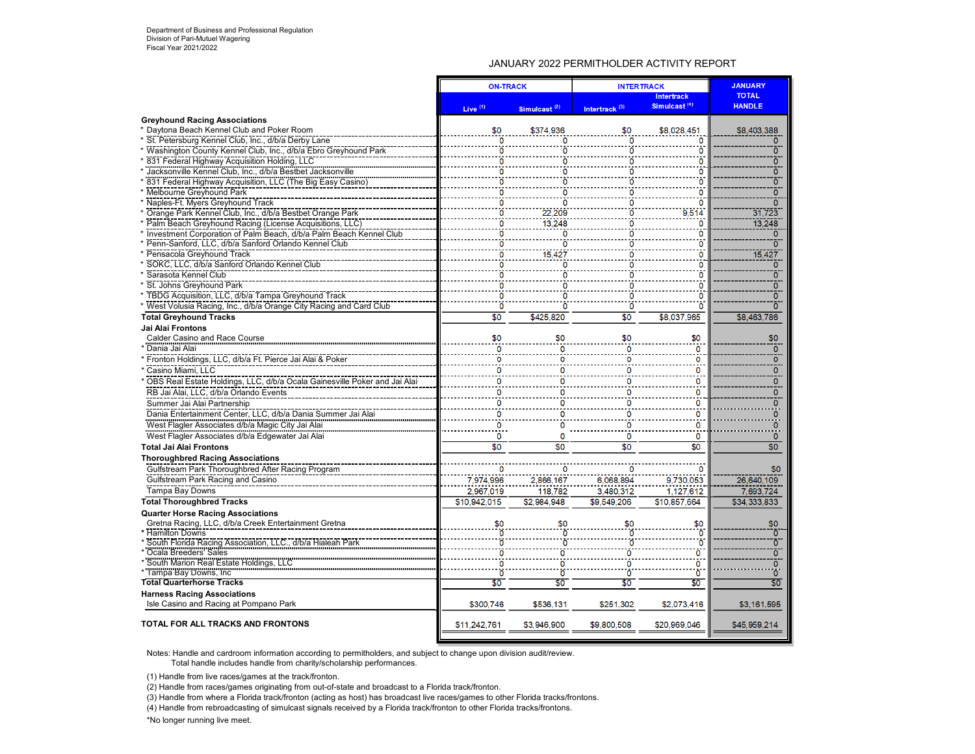## JANUARY 2022 PERMITHOLDER ACTIVITY REPORT

|                                                                             | <b>ON-TRACK</b>     |                 | <b>INTERTRACK</b>         | <b>JANUARY</b>                                |                               |
|-----------------------------------------------------------------------------|---------------------|-----------------|---------------------------|-----------------------------------------------|-------------------------------|
|                                                                             | Live <sup>(1)</sup> | Simulcast $(2)$ | Intertrack <sup>(3)</sup> | <b>Intertrack</b><br>Simulcast <sup>(4)</sup> | <b>TOTAL</b><br><b>HANDLE</b> |
| <b>Greyhound Racing Associations</b>                                        |                     |                 |                           |                                               |                               |
| * Daytona Beach Kennel Club and Poker Room                                  | \$0                 | \$374,936       | \$0                       | \$8,028,451                                   | \$8,403,388                   |
| * St. Petersburg Kennel Club, Inc., d/b/a Derby Lane                        |                     |                 |                           |                                               | $\Omega$                      |
| * Washington County Kennel Club, Inc., d/b/a Ebro Greyhound Park            | n                   | n               |                           | n                                             | $\overline{0}$                |
| * 831 Federal Highway Acquisition Holding, LLC                              | n                   | O               |                           | n                                             | $\Omega$                      |
| Jacksonville Kennel Club, Inc., d/b/a Bestbet Jacksonville                  | 0                   | 0               | n                         | 0                                             | $\overline{0}$                |
| <b>831 Federal Highway Acquisition, LLC (The Big Easy Casino)</b>           |                     |                 |                           | o                                             | $\overline{0}$                |
| * Melbourne Greyhound Park                                                  | n                   | n               |                           |                                               | $\overline{0}$                |
| * Naples-Ft. Myers Greyhound Track                                          | O                   | O               |                           | Ω                                             |                               |
| * Orange Park Kennel Club, Inc., d/b/a Bestbet Orange Park                  |                     | 22.209          |                           | 9.514                                         | 31.723                        |
| * Palm Beach Greyhound Racing (License Acquisitions, LLC)                   | O                   | 13,248          |                           |                                               | 13.248                        |
| * Investment Corporation of Palm Beach, d/b/a Palm Beach Kennel Club        | o                   | $\Omega$        |                           | n                                             | $\mathbf{0}$                  |
| * Penn-Sanford, LLC, d/b/a Sanford Orlando Kennel Club                      |                     | O               |                           | n                                             | $\overline{0}$                |
| Pensacola Greyhound Track                                                   |                     | 15,427          |                           | 0                                             | 15,427                        |
| SOKC, LLC, d/b/a Sanford Orlando Kennel Club                                |                     | O               |                           | O                                             | $\mathbf{0}$                  |
| Sarasota Kennel Club                                                        |                     | n               |                           | n                                             | $\overline{0}$                |
| * St. Johns Greyhound Park                                                  | 0                   | 0               | 0                         | 0                                             | ō                             |
| * TBDG Acquisition, LLC, d/b/a Tampa Greyhound Track                        | 0                   | O               | n                         | 0                                             | ō                             |
| * West Volusia Racing, Inc., d/b/a Orange City Racing and Card Club         | ö                   | ñ               | ö                         | ō                                             | $\overline{0}$                |
| <b>Total Greyhound Tracks</b>                                               | \$0                 | \$425.820       | \$0                       | \$8,037,965                                   | \$8,463,786                   |
| Jai Alai Frontons                                                           |                     |                 |                           |                                               |                               |
| <b>Calder Casino and Race Course</b>                                        | \$0                 | \$0             | \$0                       | \$0                                           | \$0                           |
| Dania Jai Alai                                                              | 0                   |                 | $\mathbf 0$               | $\ddot{\mathbf{0}}$                           | $\overline{0}$                |
| * Fronton Holdings, LLC, d/b/a Ft. Pierce Jai Alai & Poker                  |                     |                 | o                         | 0                                             | $\Omega$                      |
| * Casino Miami, LLC                                                         | O                   |                 | 0                         | 0                                             | $\overline{0}$                |
| * OBS Real Estate Holdings, LLC, d/b/a Ocala Gainesville Poker and Jai Alai |                     |                 | 0                         | 0                                             | $\mathbf{0}$                  |
| RB Jai Alai, LLC, d/b/a Orlando Events                                      | n                   |                 | 0                         | 0                                             | $\mathbf{O}$                  |
| Summer Jai Alai Partnership                                                 | 0                   |                 | 0                         | 0                                             | $\Omega$                      |
| Dania Entertainment Center, LLC, d/b/a Dania Summer Jai Alai                | 0                   | o               | 0                         | 0                                             | $\overline{0}$                |
| West Flagler Associates d/b/a Magic City Jai Alai                           | 0                   |                 | $\Omega$                  | $\Omega$                                      | $\Omega$                      |
| West Flagler Associates d/b/a Edgewater Jai Alai                            | 0                   | $\Omega$        | 0                         | 0                                             | $\mathbf{0}$                  |
| <b>Total Jai Alai Frontons</b>                                              | \$0                 | \$0             | \$0                       | \$0                                           | \$0                           |
| <b>Thoroughbred Racing Associations</b>                                     |                     |                 |                           |                                               |                               |
| Gulfstream Park Thoroughbred After Racing Program                           |                     |                 |                           |                                               | \$0                           |
| Gulfstream Park Racing and Casino                                           | 7.974.996           | 2,866,167       | 6,068,894                 | 9,730,053                                     | 26.640.109                    |
| Tampa Bay Downs                                                             | 2,967,019           | 118,782         | 3,480,312                 |                                               | 7,693,724                     |
| <b>Total Thoroughbred Tracks</b>                                            | \$10.942.015        | \$2.984.948     | \$9.549.206               | 1,127,612<br>\$10.857.664                     | \$34.333.833                  |
|                                                                             |                     |                 |                           |                                               |                               |
| <b>Quarter Horse Racing Associations</b>                                    |                     |                 |                           |                                               |                               |
| Gretna Racing, LLC, d/b/a Creek Entertainment Gretna<br>* Hamilton Downs    | \$0                 | \$0             | \$0                       | $\frac{$0}{0}$                                | \$0<br>$\overline{0}$         |
| * South Florida Racing Association, LLC., d/b/a Hialeah Park                |                     |                 |                           | $\ddot{\mathbf{0}}$                           | $\overline{0}$                |
|                                                                             |                     |                 | ö                         | $\ddot{\mathbf{0}}$                           | $\overline{0}$                |
| * Coala Breeders' Sales<br>* South Marion Real Estate Holdings, LLC         | n                   | O               | 0                         | $\ddot{\mathbf{0}}$                           | $\overline{0}$                |
| * Tampa Bay Downs, Inc                                                      |                     | n               | ō                         | $\ddot{\mathbf{0}}$                           | $\overline{0}$                |
| <b>Total Quarterhorse Tracks</b>                                            | \$0                 | \$0             | \$0                       | \$0                                           | \$0                           |
| <b>Harness Racing Associations</b>                                          |                     |                 |                           |                                               |                               |
| Isle Casino and Racing at Pompano Park                                      | \$300,746           | \$536,131       | \$251,302                 | \$2,073,416                                   | \$3,161,595                   |
|                                                                             |                     |                 |                           |                                               |                               |
| TOTAL FOR ALL TRACKS AND FRONTONS                                           | \$11,242,761        | \$3,946,900     | \$9,800,508               | \$20,969,046                                  | \$45,959,214                  |

Notes: Handle and cardroom information according to permitholders, and subject to change upon division audit/review. Total handle includes handle from charity/scholarship performances.

(1) Handle from live races/games at the track/fronton.

(2) Handle from races/games originating from out-of-state and broadcast to a Florida track/fronton.

(3) Handle from where a Florida track/fronton (acting as host) has broadcast live races/games to other Florida tracks/frontons.

(4) Handle from rebroadcasting of simulcast signals received by a Florida track/fronton to other Florida tracks/frontons.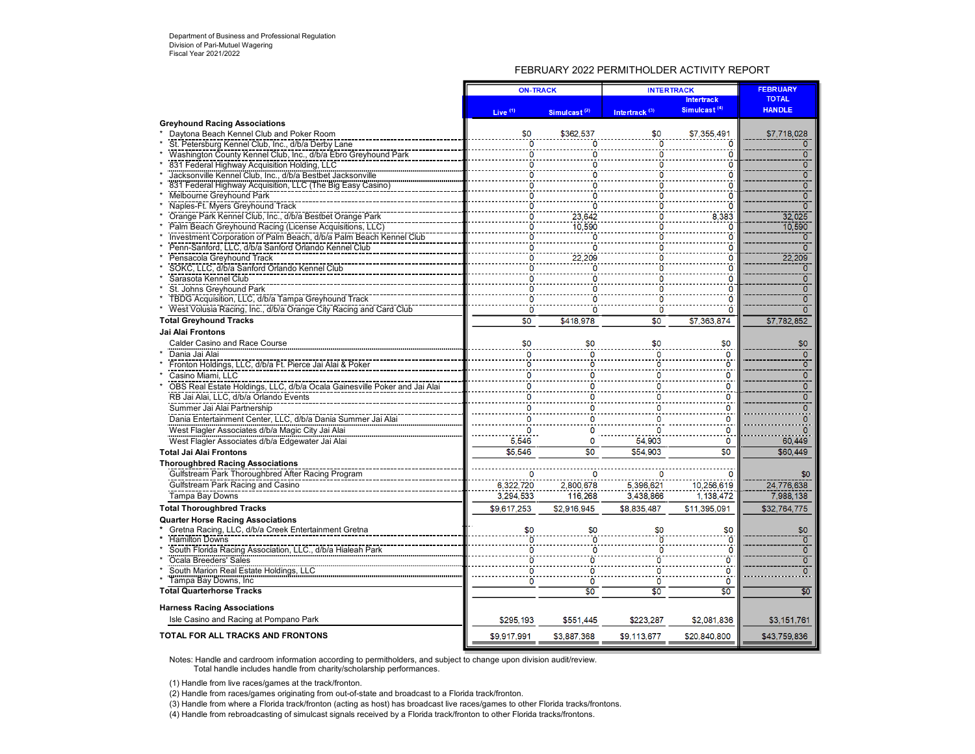## FEBRUARY 2022 PERMITHOLDER ACTIVITY REPORT

|                                                                           | <b>ON-TRACK</b>     |                          | <b>INTERTRACK</b>         | <b>FEBRUARY</b>          |                |
|---------------------------------------------------------------------------|---------------------|--------------------------|---------------------------|--------------------------|----------------|
|                                                                           |                     |                          |                           | <b>Intertrack</b>        | <b>TOTAL</b>   |
|                                                                           | Live <sup>(1)</sup> | Simulcast <sup>(2)</sup> | Intertrack <sup>(3)</sup> | Simulcast <sup>(4)</sup> | <b>HANDLE</b>  |
| <b>Greyhound Racing Associations</b>                                      |                     |                          |                           |                          |                |
| Daytona Beach Kennel Club and Poker Room                                  | \$0                 | \$362,537                | \$0                       | \$7,355,491              | \$7,718,028    |
| St. Petersburg Kennel Club, Inc., d/b/a Derby Lane                        | 0                   | n                        | $\overline{0}$            |                          | $\mathbf{O}$   |
| Washington County Kennel Club, Inc., d/b/a Ebro Greyhound Park            | 0                   | o                        | O                         | n                        | $\overline{0}$ |
| 831 Federal Highway Acquisition Holding, LLC                              | $\Omega$            | O                        | Ō                         | O                        | $\overline{0}$ |
| Jacksonville Kennel Club, Inc., d/b/a Bestbet Jacksonville                | 0                   | ö                        | ö                         | $\mathbf{0}$             | ō              |
| 831 Federal Highway Acquisition, LLC (The Big Easy Casino)                | $\mathbf{0}$        | $\overline{0}$           | ö                         | n                        | ō              |
| Melbourne Greyhound Park                                                  | 0                   | 0                        | ٥                         |                          | ō              |
| Naples-Ft. Myers Greyhound Track                                          | ō                   | õ                        | ö                         |                          | 70             |
| Orange Park Kennel Club, Inc., d/b/a Bestbet Orange Park                  | 0                   | 23,642                   | O                         | 8.383                    | 32,025         |
| Palm Beach Greyhound Racing (License Acquisitions, LLC)                   | O                   | 10.590                   | 0                         |                          | 10,590         |
| Investment Corporation of Palm Beach, d/b/a Palm Beach Kennel Club        | ö                   | ö                        | ö                         |                          | ō              |
|                                                                           |                     |                          |                           | n                        | $\overline{0}$ |
| Pensacola Greyhound Track                                                 | o                   | 22.209                   | Ω                         | O                        | 22,209         |
| SOKC, LLC, d/b/a Sanford Orlando Kennel Club                              | $\Omega$            | Ō                        | O                         | n                        | 0              |
| Sarasota Kennel Club                                                      |                     |                          |                           |                          | $\overline{0}$ |
| St. Johns Greyhound Park                                                  |                     |                          |                           | O                        | ō              |
| TBDG Acquisition, LLC, d/b/a Tampa Greyhound Track                        | ö                   | ö                        | Ō                         | 'n                       | ō              |
| West Volusia Racing, Inc., d/b/a Orange City Racing and Card Club         | $\Omega$            | O                        | ö                         |                          | 70             |
| <b>Total Greyhound Tracks</b>                                             | \$0                 | \$418.978                | \$0                       | \$7.363.874              | \$7,782,852    |
| Jai Alai Frontons                                                         |                     |                          |                           |                          |                |
| Calder Casino and Race Course                                             | \$0                 | \$0                      | \$0                       | \$0                      | \$0            |
| Dania Jai Alai                                                            | O                   | 0                        | $\Omega$                  | $\overline{0}$           | $\overline{0}$ |
| Fronton Holdings, LLC, d/b/a Ft. Pierce Jai Alai & Poker                  | ö                   |                          | n                         | $\ddot{\mathbf{o}}$      | ō              |
| Casino Miami, LLC                                                         | ö                   | n                        | n                         | ö                        | $\overline{0}$ |
| OBS Real Estate Holdings, LLC, d/b/a Ocala Gainesville Poker and Jai Alai | $\overline{0}$      | n                        | n                         | $\mathbf 0$              | $\overline{0}$ |
| RB Jai Alai, LLC, d/b/a Orlando Events                                    | 0                   | n                        | n                         | $\mathbf 0$              | $\mathbf{0}$   |
| Summer Jai Alai Partnership                                               | $\Omega$            | n                        |                           | $\mathbf{0}$             | $\Omega$       |
|                                                                           | 0                   |                          |                           | 0                        | $\mathbf 0$    |
| Dania Entertainment Center, LLC, d/b/a Dania Summer Jai Alai              |                     |                          |                           | Ö                        |                |
| West Flagler Associates d/b/a Magic City Jai Alai                         |                     |                          |                           |                          |                |
| West Flagler Associates d/b/a Edgewater Jai Alai                          | 5.546               | 0                        | 54.903                    | $\mathbf 0$              | 60,449         |
| <b>Total Jai Alai Frontons</b>                                            | \$5.546             | \$0                      | \$54,903                  | \$0                      | \$60,449       |
| <b>Thoroughbred Racing Associations</b>                                   |                     |                          |                           |                          |                |
| Gulfstream Park Thoroughbred After Racing Program                         |                     | 0                        |                           |                          | \$0            |
| Gulfstream Park Racing and Casino                                         | 6.322.720           | 2.800.678                | 5.396.621                 | 10.256.619               | 24.776.638     |
| Tampa Bay Downs                                                           | 3,294,533           | 116,268                  | 3,438,866                 | 1,138,472                | 7,988,138      |
| <b>Total Thoroughbred Tracks</b>                                          | \$9,617,253         | \$2,916,945              | \$8.835.487               | \$11,395,091             | \$32,764,775   |
| <b>Quarter Horse Racing Associations</b>                                  |                     |                          |                           |                          |                |
| Gretna Racing, LLC, d/b/a Creek Entertainment Gretna                      | \$0                 | \$0                      | \$0                       | \$0                      | \$0            |
| <b>Hamilton Downs</b>                                                     |                     |                          |                           |                          | ์ ซ            |
| South Florida Racing Association, LLC., d/b/a Hialeah Park                | 0                   |                          |                           | $\Omega$                 | $\overline{0}$ |
| Ocala Breeders' Sales                                                     |                     | n                        | n                         | Ō                        | ō              |
| South Marion Real Estate Holdings, LLC                                    | ō                   | O                        | O                         | $\overline{0}$           | $\overline{0}$ |
| Tampa Bay Downs, Inc.                                                     | $\overline{0}$      | 0                        | 0                         | $\overline{0}$           |                |
| <b>Total Quarterhorse Tracks</b>                                          |                     | \$0                      | \$0                       | \$0                      | \$0            |
| <b>Harness Racing Associations</b>                                        |                     |                          |                           |                          |                |
| Isle Casino and Racing at Pompano Park                                    | \$295,193           | \$551,445                | \$223.287                 | \$2,081,836              | \$3,151,761    |
|                                                                           |                     |                          |                           |                          |                |
| TOTAL FOR ALL TRACKS AND FRONTONS                                         | \$9,917.991         | \$3.887.368              | \$9.113.677               | \$20,840,800             | \$43,759,836   |

Notes: Handle and cardroom information according to permitholders, and subject to change upon division audit/review.

Total handle includes handle from charity/scholarship performances.

(1) Handle from live races/games at the track/fronton.

(2) Handle from races/games originating from out-of-state and broadcast to a Florida track/fronton.

(3) Handle from where a Florida track/fronton (acting as host) has broadcast live races/games to other Florida tracks/frontons.

(4) Handle from rebroadcasting of simulcast signals received by a Florida track/fronton to other Florida tracks/frontons.